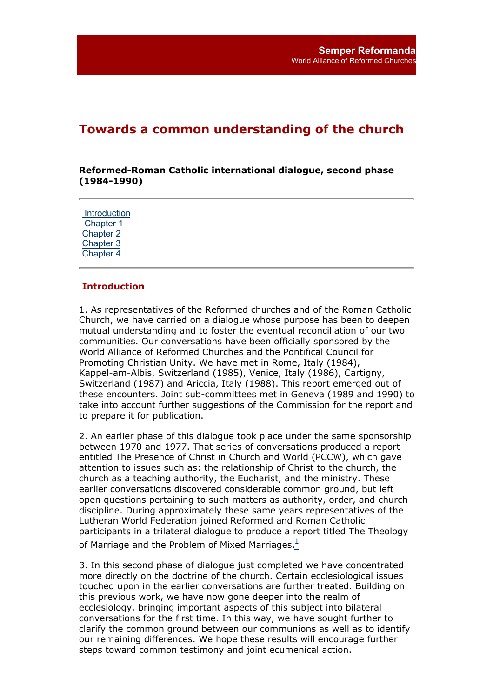# **Towards a common understanding of the church**

**Reformed-Roman Catholic international dialogue, second phase (1984-1990)**

 Introduction Chapter 1 Chapter 2 Chapter 3 Chapter 4

#### **Introduction**

1. As representatives of the Reformed churches and of the Roman Catholic Church, we have carried on a dialogue whose purpose has been to deepen mutual understanding and to foster the eventual reconciliation of our two communities. Our conversations have been officially sponsored by the World Alliance of Reformed Churches and the Pontifical Council for Promoting Christian Unity. We have met in Rome, Italy (1984), Kappel-am-Albis, Switzerland (1985), Venice, Italy (1986), Cartigny, Switzerland (1987) and Ariccia, Italy (1988). This report emerged out of these encounters. Joint sub-committees met in Geneva (1989 and 1990) to take into account further suggestions of the Commission for the report and to prepare it for publication.

2. An earlier phase of this dialogue took place under the same sponsorship between 1970 and 1977. That series of conversations produced a report entitled The Presence of Christ in Church and World (PCCW), which gave attention to issues such as: the relationship of Christ to the church, the church as a teaching authority, the Eucharist, and the ministry. These earlier conversations discovered considerable common ground, but left open questions pertaining to such matters as authority, order, and church discipline. During approximately these same years representatives of the Lutheran World Federation joined Reformed and Roman Catholic participants in a trilateral dialogue to produce a report titled The Theology of Marriage and the Problem of Mixed Marriages. $1$ 

3. In this second phase of dialogue just completed we have concentrated more directly on the doctrine of the church. Certain ecclesiological issues touched upon in the earlier conversations are further treated. Building on this previous work, we have now gone deeper into the realm of ecclesiology, bringing important aspects of this subject into bilateral conversations for the first time. In this way, we have sought further to clarify the common ground between our communions as well as to identify our remaining differences. We hope these results will encourage further steps toward common testimony and joint ecumenical action.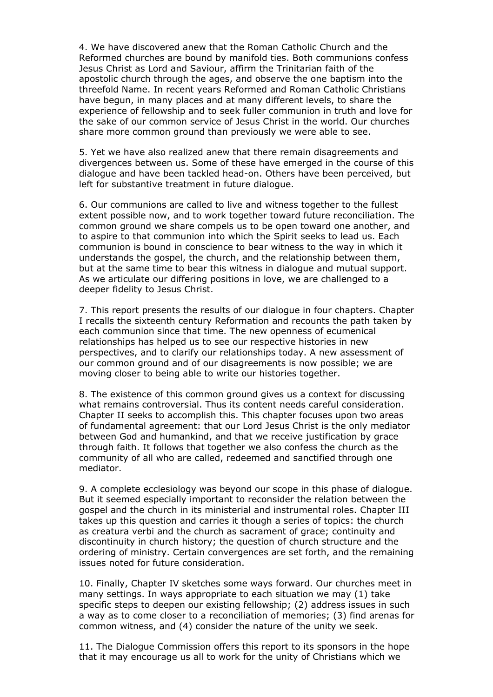4. We have discovered anew that the Roman Catholic Church and the Reformed churches are bound by manifold ties. Both communions confess Jesus Christ as Lord and Saviour, affirm the Trinitarian faith of the apostolic church through the ages, and observe the one baptism into the threefold Name. In recent years Reformed and Roman Catholic Christians have begun, in many places and at many different levels, to share the experience of fellowship and to seek fuller communion in truth and love for the sake of our common service of Jesus Christ in the world. Our churches share more common ground than previously we were able to see.

5. Yet we have also realized anew that there remain disagreements and divergences between us. Some of these have emerged in the course of this dialogue and have been tackled head-on. Others have been perceived, but left for substantive treatment in future dialogue.

6. Our communions are called to live and witness together to the fullest extent possible now, and to work together toward future reconciliation. The common ground we share compels us to be open toward one another, and to aspire to that communion into which the Spirit seeks to lead us. Each communion is bound in conscience to bear witness to the way in which it understands the gospel, the church, and the relationship between them, but at the same time to bear this witness in dialogue and mutual support. As we articulate our differing positions in love, we are challenged to a deeper fidelity to Jesus Christ.

7. This report presents the results of our dialogue in four chapters. Chapter I recalls the sixteenth century Reformation and recounts the path taken by each communion since that time. The new openness of ecumenical relationships has helped us to see our respective histories in new perspectives, and to clarify our relationships today. A new assessment of our common ground and of our disagreements is now possible; we are moving closer to being able to write our histories together.

8. The existence of this common ground gives us a context for discussing what remains controversial. Thus its content needs careful consideration. Chapter II seeks to accomplish this. This chapter focuses upon two areas of fundamental agreement: that our Lord Jesus Christ is the only mediator between God and humankind, and that we receive justification by grace through faith. It follows that together we also confess the church as the community of all who are called, redeemed and sanctified through one mediator.

9. A complete ecclesiology was beyond our scope in this phase of dialogue. But it seemed especially important to reconsider the relation between the gospel and the church in its ministerial and instrumental roles. Chapter III takes up this question and carries it though a series of topics: the church as creatura verbi and the church as sacrament of grace; continuity and discontinuity in church history; the question of church structure and the ordering of ministry. Certain convergences are set forth, and the remaining issues noted for future consideration.

10. Finally, Chapter IV sketches some ways forward. Our churches meet in many settings. In ways appropriate to each situation we may (1) take specific steps to deepen our existing fellowship; (2) address issues in such a way as to come closer to a reconciliation of memories; (3) find arenas for common witness, and (4) consider the nature of the unity we seek.

11. The Dialogue Commission offers this report to its sponsors in the hope that it may encourage us all to work for the unity of Christians which we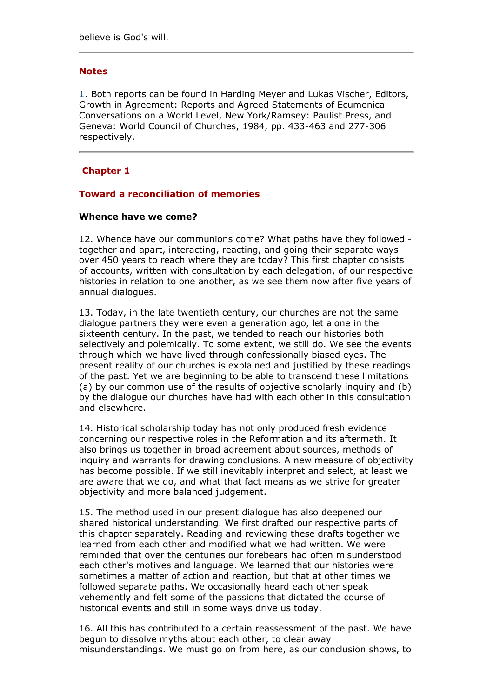#### **Notes**

1. Both reports can be found in Harding Meyer and Lukas Vischer, Editors, Growth in Agreement: Reports and Agreed Statements of Ecumenical Conversations on a World Level, New York/Ramsey: Paulist Press, and Geneva: World Council of Churches, 1984, pp. 433-463 and 277-306 respectively.

# **Chapter 1**

## **Toward a reconciliation of memories**

## **Whence have we come?**

12. Whence have our communions come? What paths have they followed together and apart, interacting, reacting, and going their separate ways over 450 years to reach where they are today? This first chapter consists of accounts, written with consultation by each delegation, of our respective histories in relation to one another, as we see them now after five years of annual dialogues.

13. Today, in the late twentieth century, our churches are not the same dialogue partners they were even a generation ago, let alone in the sixteenth century. In the past, we tended to reach our histories both selectively and polemically. To some extent, we still do. We see the events through which we have lived through confessionally biased eyes. The present reality of our churches is explained and justified by these readings of the past. Yet we are beginning to be able to transcend these limitations (a) by our common use of the results of objective scholarly inquiry and (b) by the dialogue our churches have had with each other in this consultation and elsewhere.

14. Historical scholarship today has not only produced fresh evidence concerning our respective roles in the Reformation and its aftermath. It also brings us together in broad agreement about sources, methods of inquiry and warrants for drawing conclusions. A new measure of objectivity has become possible. If we still inevitably interpret and select, at least we are aware that we do, and what that fact means as we strive for greater objectivity and more balanced judgement.

15. The method used in our present dialogue has also deepened our shared historical understanding. We first drafted our respective parts of this chapter separately. Reading and reviewing these drafts together we learned from each other and modified what we had written. We were reminded that over the centuries our forebears had often misunderstood each other's motives and language. We learned that our histories were sometimes a matter of action and reaction, but that at other times we followed separate paths. We occasionally heard each other speak vehemently and felt some of the passions that dictated the course of historical events and still in some ways drive us today.

16. All this has contributed to a certain reassessment of the past. We have begun to dissolve myths about each other, to clear away misunderstandings. We must go on from here, as our conclusion shows, to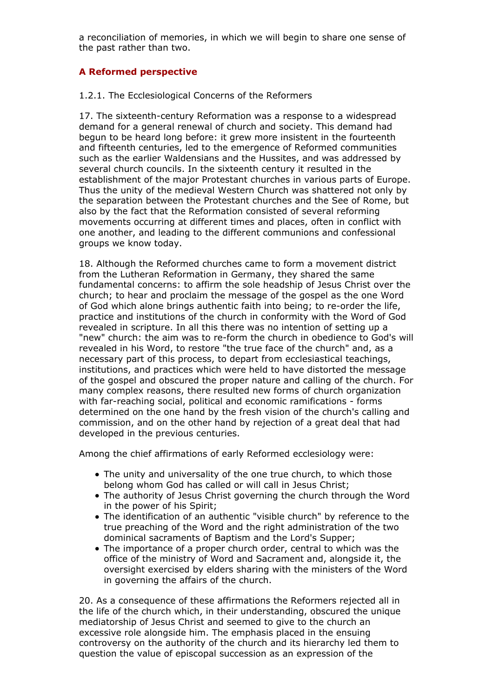a reconciliation of memories, in which we will begin to share one sense of the past rather than two.

# **A Reformed perspective**

# 1.2.1. The Ecclesiological Concerns of the Reformers

17. The sixteenth-century Reformation was a response to a widespread demand for a general renewal of church and society. This demand had begun to be heard long before: it grew more insistent in the fourteenth and fifteenth centuries, led to the emergence of Reformed communities such as the earlier Waldensians and the Hussites, and was addressed by several church councils. In the sixteenth century it resulted in the establishment of the major Protestant churches in various parts of Europe. Thus the unity of the medieval Western Church was shattered not only by the separation between the Protestant churches and the See of Rome, but also by the fact that the Reformation consisted of several reforming movements occurring at different times and places, often in conflict with one another, and leading to the different communions and confessional groups we know today.

18. Although the Reformed churches came to form a movement district from the Lutheran Reformation in Germany, they shared the same fundamental concerns: to affirm the sole headship of Jesus Christ over the church; to hear and proclaim the message of the gospel as the one Word of God which alone brings authentic faith into being; to re-order the life, practice and institutions of the church in conformity with the Word of God revealed in scripture. In all this there was no intention of setting up a "new" church: the aim was to re-form the church in obedience to God's will revealed in his Word, to restore "the true face of the church" and, as a necessary part of this process, to depart from ecclesiastical teachings, institutions, and practices which were held to have distorted the message of the gospel and obscured the proper nature and calling of the church. For many complex reasons, there resulted new forms of church organization with far-reaching social, political and economic ramifications - forms determined on the one hand by the fresh vision of the church's calling and commission, and on the other hand by rejection of a great deal that had developed in the previous centuries.

Among the chief affirmations of early Reformed ecclesiology were:

- The unity and universality of the one true church, to which those belong whom God has called or will call in Jesus Christ;
- The authority of Jesus Christ governing the church through the Word in the power of his Spirit;
- The identification of an authentic "visible church" by reference to the true preaching of the Word and the right administration of the two dominical sacraments of Baptism and the Lord's Supper;
- The importance of a proper church order, central to which was the office of the ministry of Word and Sacrament and, alongside it, the oversight exercised by elders sharing with the ministers of the Word in governing the affairs of the church.

20. As a consequence of these affirmations the Reformers rejected all in the life of the church which, in their understanding, obscured the unique mediatorship of Jesus Christ and seemed to give to the church an excessive role alongside him. The emphasis placed in the ensuing controversy on the authority of the church and its hierarchy led them to question the value of episcopal succession as an expression of the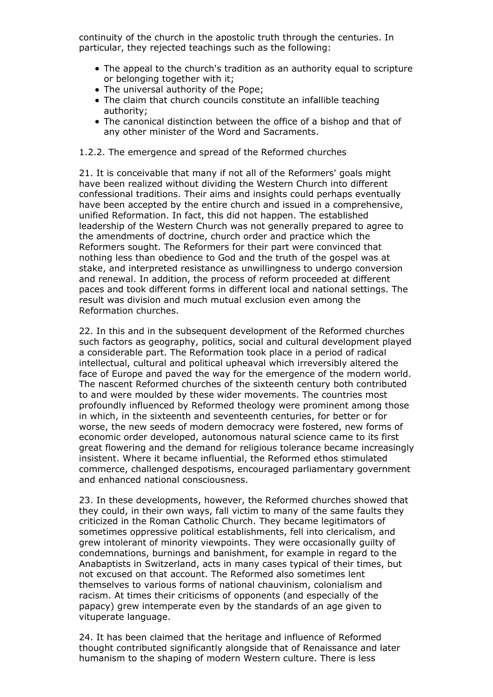continuity of the church in the apostolic truth through the centuries. In particular, they rejected teachings such as the following:

- The appeal to the church's tradition as an authority equal to scripture or belonging together with it;
- The universal authority of the Pope:
- The claim that church councils constitute an infallible teaching authority;
- The canonical distinction between the office of a bishop and that of any other minister of the Word and Sacraments.

## 1.2.2. The emergence and spread of the Reformed churches

21. It is conceivable that many if not all of the Reformers' goals might have been realized without dividing the Western Church into different confessional traditions. Their aims and insights could perhaps eventually have been accepted by the entire church and issued in a comprehensive, unified Reformation. In fact, this did not happen. The established leadership of the Western Church was not generally prepared to agree to the amendments of doctrine, church order and practice which the Reformers sought. The Reformers for their part were convinced that nothing less than obedience to God and the truth of the gospel was at stake, and interpreted resistance as unwillingness to undergo conversion and renewal. In addition, the process of reform proceeded at different paces and took different forms in different local and national settings. The result was division and much mutual exclusion even among the Reformation churches.

22. In this and in the subsequent development of the Reformed churches such factors as geography, politics, social and cultural development played a considerable part. The Reformation took place in a period of radical intellectual, cultural and political upheaval which irreversibly altered the face of Europe and paved the way for the emergence of the modern world. The nascent Reformed churches of the sixteenth century both contributed to and were moulded by these wider movements. The countries most profoundly influenced by Reformed theology were prominent among those in which, in the sixteenth and seventeenth centuries, for better or for worse, the new seeds of modern democracy were fostered, new forms of economic order developed, autonomous natural science came to its first great flowering and the demand for religious tolerance became increasingly insistent. Where it became influential, the Reformed ethos stimulated commerce, challenged despotisms, encouraged parliamentary government and enhanced national consciousness.

23. In these developments, however, the Reformed churches showed that they could, in their own ways, fall victim to many of the same faults they criticized in the Roman Catholic Church. They became legitimators of sometimes oppressive political establishments, fell into clericalism, and grew intolerant of minority viewpoints. They were occasionally guilty of condemnations, burnings and banishment, for example in regard to the Anabaptists in Switzerland, acts in many cases typical of their times, but not excused on that account. The Reformed also sometimes lent themselves to various forms of national chauvinism, colonialism and racism. At times their criticisms of opponents (and especially of the papacy) grew intemperate even by the standards of an age given to vituperate language.

24. It has been claimed that the heritage and influence of Reformed thought contributed significantly alongside that of Renaissance and later humanism to the shaping of modern Western culture. There is less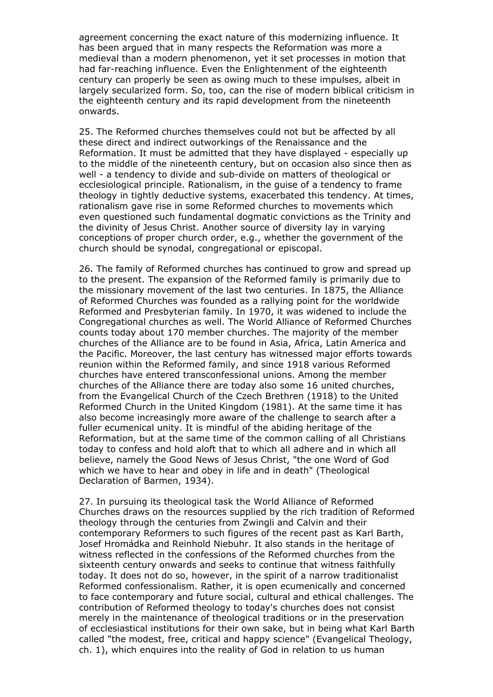agreement concerning the exact nature of this modernizing influence. It has been argued that in many respects the Reformation was more a medieval than a modern phenomenon, yet it set processes in motion that had far-reaching influence. Even the Enlightenment of the eighteenth century can properly be seen as owing much to these impulses, albeit in largely secularized form. So, too, can the rise of modern biblical criticism in the eighteenth century and its rapid development from the nineteenth onwards.

25. The Reformed churches themselves could not but be affected by all these direct and indirect outworkings of the Renaissance and the Reformation. It must be admitted that they have displayed - especially up to the middle of the nineteenth century, but on occasion also since then as well - a tendency to divide and sub-divide on matters of theological or ecclesiological principle. Rationalism, in the guise of a tendency to frame theology in tightly deductive systems, exacerbated this tendency. At times, rationalism gave rise in some Reformed churches to movements which even questioned such fundamental dogmatic convictions as the Trinity and the divinity of Jesus Christ. Another source of diversity lay in varying conceptions of proper church order, e.g., whether the government of the church should be synodal, congregational or episcopal.

26. The family of Reformed churches has continued to grow and spread up to the present. The expansion of the Reformed family is primarily due to the missionary movement of the last two centuries. In 1875, the Alliance of Reformed Churches was founded as a rallying point for the worldwide Reformed and Presbyterian family. In 1970, it was widened to include the Congregational churches as well. The World Alliance of Reformed Churches counts today about 170 member churches. The majority of the member churches of the Alliance are to be found in Asia, Africa, Latin America and the Pacific. Moreover, the last century has witnessed major efforts towards reunion within the Reformed family, and since 1918 various Reformed churches have entered transconfessional unions. Among the member churches of the Alliance there are today also some 16 united churches, from the Evangelical Church of the Czech Brethren (1918) to the United Reformed Church in the United Kingdom (1981). At the same time it has also become increasingly more aware of the challenge to search after a fuller ecumenical unity. It is mindful of the abiding heritage of the Reformation, but at the same time of the common calling of all Christians today to confess and hold aloft that to which all adhere and in which all believe, namely the Good News of Jesus Christ, "the one Word of God which we have to hear and obey in life and in death" (Theological Declaration of Barmen, 1934).

27. In pursuing its theological task the World Alliance of Reformed Churches draws on the resources supplied by the rich tradition of Reformed theology through the centuries from Zwingli and Calvin and their contemporary Reformers to such figures of the recent past as Karl Barth, Josef Hromádka and Reinhold Niebuhr. It also stands in the heritage of witness reflected in the confessions of the Reformed churches from the sixteenth century onwards and seeks to continue that witness faithfully today. It does not do so, however, in the spirit of a narrow traditionalist Reformed confessionalism. Rather, it is open ecumenically and concerned to face contemporary and future social, cultural and ethical challenges. The contribution of Reformed theology to today's churches does not consist merely in the maintenance of theological traditions or in the preservation of ecclesiastical institutions for their own sake, but in being what Karl Barth called "the modest, free, critical and happy science" (Evangelical Theology, ch. 1), which enquires into the reality of God in relation to us human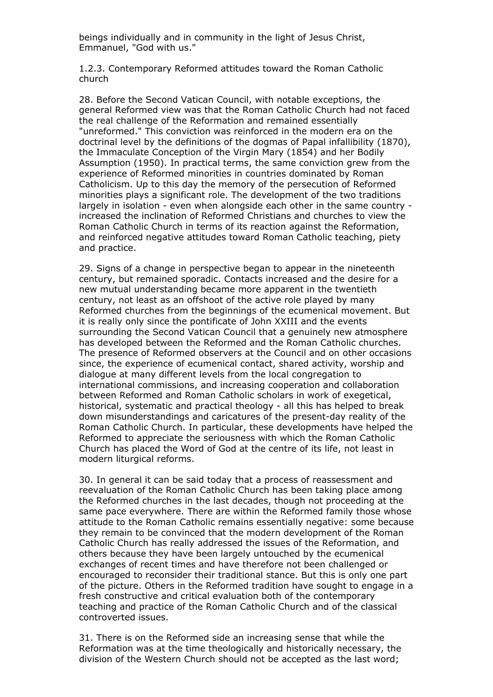beings individually and in community in the light of Jesus Christ, Emmanuel, "God with us."

1.2.3. Contemporary Reformed attitudes toward the Roman Catholic church

28. Before the Second Vatican Council, with notable exceptions, the general Reformed view was that the Roman Catholic Church had not faced the real challenge of the Reformation and remained essentially "unreformed." This conviction was reinforced in the modern era on the doctrinal level by the definitions of the dogmas of Papal infallibility (1870), the Immaculate Conception of the Virgin Mary (1854) and her Bodily Assumption (1950). In practical terms, the same conviction grew from the experience of Reformed minorities in countries dominated by Roman Catholicism. Up to this day the memory of the persecution of Reformed minorities plays a significant role. The development of the two traditions largely in isolation - even when alongside each other in the same country increased the inclination of Reformed Christians and churches to view the Roman Catholic Church in terms of its reaction against the Reformation, and reinforced negative attitudes toward Roman Catholic teaching, piety and practice.

29. Signs of a change in perspective began to appear in the nineteenth century, but remained sporadic. Contacts increased and the desire for a new mutual understanding became more apparent in the twentieth century, not least as an offshoot of the active role played by many Reformed churches from the beginnings of the ecumenical movement. But it is really only since the pontificate of John XXIII and the events surrounding the Second Vatican Council that a genuinely new atmosphere has developed between the Reformed and the Roman Catholic churches. The presence of Reformed observers at the Council and on other occasions since, the experience of ecumenical contact, shared activity, worship and dialogue at many different levels from the local congregation to international commissions, and increasing cooperation and collaboration between Reformed and Roman Catholic scholars in work of exegetical, historical, systematic and practical theology - all this has helped to break down misunderstandings and caricatures of the present-day reality of the Roman Catholic Church. In particular, these developments have helped the Reformed to appreciate the seriousness with which the Roman Catholic Church has placed the Word of God at the centre of its life, not least in modern liturgical reforms.

30. In general it can be said today that a process of reassessment and reevaluation of the Roman Catholic Church has been taking place among the Reformed churches in the last decades, though not proceeding at the same pace everywhere. There are within the Reformed family those whose attitude to the Roman Catholic remains essentially negative: some because they remain to be convinced that the modern development of the Roman Catholic Church has really addressed the issues of the Reformation, and others because they have been largely untouched by the ecumenical exchanges of recent times and have therefore not been challenged or encouraged to reconsider their traditional stance. But this is only one part of the picture. Others in the Reformed tradition have sought to engage in a fresh constructive and critical evaluation both of the contemporary teaching and practice of the Roman Catholic Church and of the classical controverted issues.

31. There is on the Reformed side an increasing sense that while the Reformation was at the time theologically and historically necessary, the division of the Western Church should not be accepted as the last word;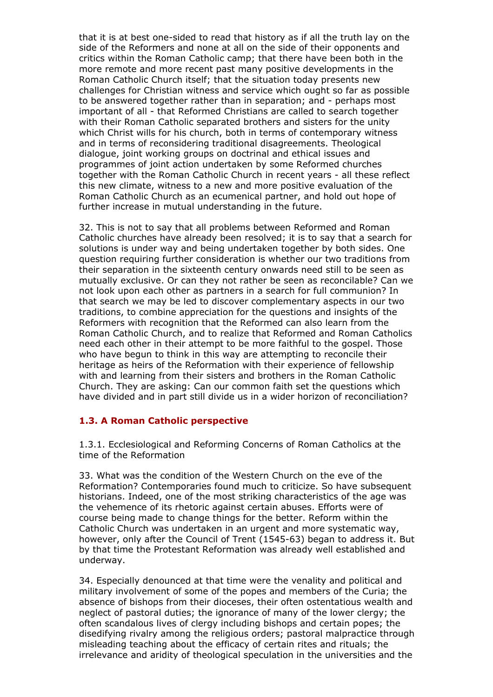that it is at best one-sided to read that history as if all the truth lay on the side of the Reformers and none at all on the side of their opponents and critics within the Roman Catholic camp; that there have been both in the more remote and more recent past many positive developments in the Roman Catholic Church itself; that the situation today presents new challenges for Christian witness and service which ought so far as possible to be answered together rather than in separation; and - perhaps most important of all - that Reformed Christians are called to search together with their Roman Catholic separated brothers and sisters for the unity which Christ wills for his church, both in terms of contemporary witness and in terms of reconsidering traditional disagreements. Theological dialogue, joint working groups on doctrinal and ethical issues and programmes of joint action undertaken by some Reformed churches together with the Roman Catholic Church in recent years - all these reflect this new climate, witness to a new and more positive evaluation of the Roman Catholic Church as an ecumenical partner, and hold out hope of further increase in mutual understanding in the future.

32. This is not to say that all problems between Reformed and Roman Catholic churches have already been resolved; it is to say that a search for solutions is under way and being undertaken together by both sides. One question requiring further consideration is whether our two traditions from their separation in the sixteenth century onwards need still to be seen as mutually exclusive. Or can they not rather be seen as reconcilable? Can we not look upon each other as partners in a search for full communion? In that search we may be led to discover complementary aspects in our two traditions, to combine appreciation for the questions and insights of the Reformers with recognition that the Reformed can also learn from the Roman Catholic Church, and to realize that Reformed and Roman Catholics need each other in their attempt to be more faithful to the gospel. Those who have begun to think in this way are attempting to reconcile their heritage as heirs of the Reformation with their experience of fellowship with and learning from their sisters and brothers in the Roman Catholic Church. They are asking: Can our common faith set the questions which have divided and in part still divide us in a wider horizon of reconciliation?

## **1.3. A Roman Catholic perspective**

1.3.1. Ecclesiological and Reforming Concerns of Roman Catholics at the time of the Reformation

33. What was the condition of the Western Church on the eve of the Reformation? Contemporaries found much to criticize. So have subsequent historians. Indeed, one of the most striking characteristics of the age was the vehemence of its rhetoric against certain abuses. Efforts were of course being made to change things for the better. Reform within the Catholic Church was undertaken in an urgent and more systematic way, however, only after the Council of Trent (1545-63) began to address it. But by that time the Protestant Reformation was already well established and underway.

34. Especially denounced at that time were the venality and political and military involvement of some of the popes and members of the Curia; the absence of bishops from their dioceses, their often ostentatious wealth and neglect of pastoral duties; the ignorance of many of the lower clergy; the often scandalous lives of clergy including bishops and certain popes; the disedifying rivalry among the religious orders; pastoral malpractice through misleading teaching about the efficacy of certain rites and rituals; the irrelevance and aridity of theological speculation in the universities and the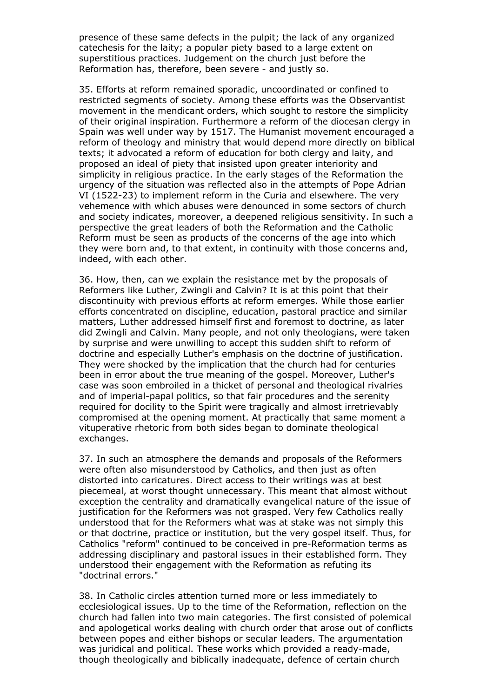presence of these same defects in the pulpit; the lack of any organized catechesis for the laity; a popular piety based to a large extent on superstitious practices. Judgement on the church just before the Reformation has, therefore, been severe - and justly so.

35. Efforts at reform remained sporadic, uncoordinated or confined to restricted segments of society. Among these efforts was the Observantist movement in the mendicant orders, which sought to restore the simplicity of their original inspiration. Furthermore a reform of the diocesan clergy in Spain was well under way by 1517. The Humanist movement encouraged a reform of theology and ministry that would depend more directly on biblical texts; it advocated a reform of education for both clergy and laity, and proposed an ideal of piety that insisted upon greater interiority and simplicity in religious practice. In the early stages of the Reformation the urgency of the situation was reflected also in the attempts of Pope Adrian VI (1522-23) to implement reform in the Curia and elsewhere. The very vehemence with which abuses were denounced in some sectors of church and society indicates, moreover, a deepened religious sensitivity. In such a perspective the great leaders of both the Reformation and the Catholic Reform must be seen as products of the concerns of the age into which they were born and, to that extent, in continuity with those concerns and, indeed, with each other.

36. How, then, can we explain the resistance met by the proposals of Reformers like Luther, Zwingli and Calvin? It is at this point that their discontinuity with previous efforts at reform emerges. While those earlier efforts concentrated on discipline, education, pastoral practice and similar matters, Luther addressed himself first and foremost to doctrine, as later did Zwingli and Calvin. Many people, and not only theologians, were taken by surprise and were unwilling to accept this sudden shift to reform of doctrine and especially Luther's emphasis on the doctrine of justification. They were shocked by the implication that the church had for centuries been in error about the true meaning of the gospel. Moreover, Luther's case was soon embroiled in a thicket of personal and theological rivalries and of imperial-papal politics, so that fair procedures and the serenity required for docility to the Spirit were tragically and almost irretrievably compromised at the opening moment. At practically that same moment a vituperative rhetoric from both sides began to dominate theological exchanges.

37. In such an atmosphere the demands and proposals of the Reformers were often also misunderstood by Catholics, and then just as often distorted into caricatures. Direct access to their writings was at best piecemeal, at worst thought unnecessary. This meant that almost without exception the centrality and dramatically evangelical nature of the issue of justification for the Reformers was not grasped. Very few Catholics really understood that for the Reformers what was at stake was not simply this or that doctrine, practice or institution, but the very gospel itself. Thus, for Catholics "reform" continued to be conceived in pre-Reformation terms as addressing disciplinary and pastoral issues in their established form. They understood their engagement with the Reformation as refuting its "doctrinal errors."

38. In Catholic circles attention turned more or less immediately to ecclesiological issues. Up to the time of the Reformation, reflection on the church had fallen into two main categories. The first consisted of polemical and apologetical works dealing with church order that arose out of conflicts between popes and either bishops or secular leaders. The argumentation was juridical and political. These works which provided a ready-made, though theologically and biblically inadequate, defence of certain church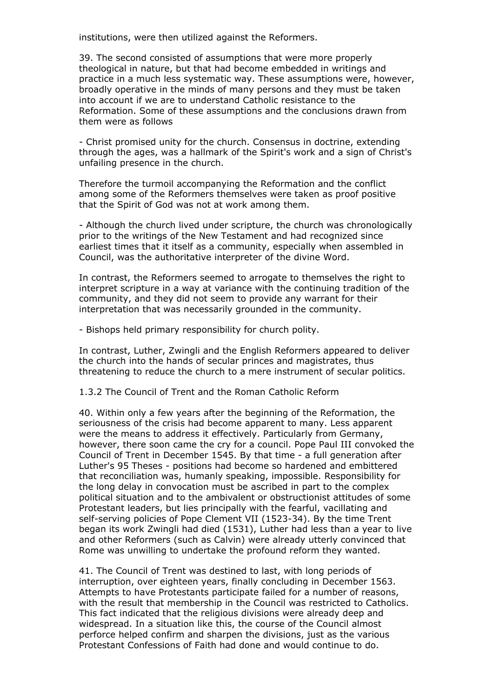institutions, were then utilized against the Reformers.

39. The second consisted of assumptions that were more properly theological in nature, but that had become embedded in writings and practice in a much less systematic way. These assumptions were, however, broadly operative in the minds of many persons and they must be taken into account if we are to understand Catholic resistance to the Reformation. Some of these assumptions and the conclusions drawn from them were as follows

- Christ promised unity for the church. Consensus in doctrine, extending through the ages, was a hallmark of the Spirit's work and a sign of Christ's unfailing presence in the church.

Therefore the turmoil accompanying the Reformation and the conflict among some of the Reformers themselves were taken as proof positive that the Spirit of God was not at work among them.

- Although the church lived under scripture, the church was chronologically prior to the writings of the New Testament and had recognized since earliest times that it itself as a community, especially when assembled in Council, was the authoritative interpreter of the divine Word.

In contrast, the Reformers seemed to arrogate to themselves the right to interpret scripture in a way at variance with the continuing tradition of the community, and they did not seem to provide any warrant for their interpretation that was necessarily grounded in the community.

- Bishops held primary responsibility for church polity.

In contrast, Luther, Zwingli and the English Reformers appeared to deliver the church into the hands of secular princes and magistrates, thus threatening to reduce the church to a mere instrument of secular politics.

1.3.2 The Council of Trent and the Roman Catholic Reform

40. Within only a few years after the beginning of the Reformation, the seriousness of the crisis had become apparent to many. Less apparent were the means to address it effectively. Particularly from Germany, however, there soon came the cry for a council. Pope Paul III convoked the Council of Trent in December 1545. By that time - a full generation after Luther's 95 Theses - positions had become so hardened and embittered that reconciliation was, humanly speaking, impossible. Responsibility for the long delay in convocation must be ascribed in part to the complex political situation and to the ambivalent or obstructionist attitudes of some Protestant leaders, but lies principally with the fearful, vacillating and self-serving policies of Pope Clement VII (1523-34). By the time Trent began its work Zwingli had died (1531), Luther had less than a year to live and other Reformers (such as Calvin) were already utterly convinced that Rome was unwilling to undertake the profound reform they wanted.

41. The Council of Trent was destined to last, with long periods of interruption, over eighteen years, finally concluding in December 1563. Attempts to have Protestants participate failed for a number of reasons, with the result that membership in the Council was restricted to Catholics. This fact indicated that the religious divisions were already deep and widespread. In a situation like this, the course of the Council almost perforce helped confirm and sharpen the divisions, just as the various Protestant Confessions of Faith had done and would continue to do.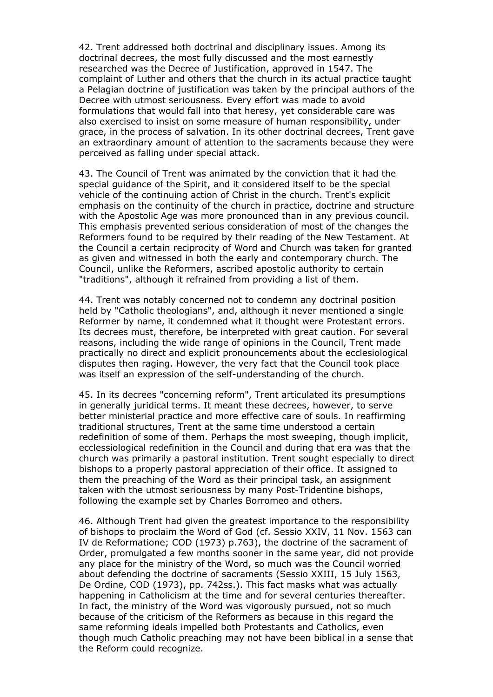42. Trent addressed both doctrinal and disciplinary issues. Among its doctrinal decrees, the most fully discussed and the most earnestly researched was the Decree of Justification, approved in 1547. The complaint of Luther and others that the church in its actual practice taught a Pelagian doctrine of justification was taken by the principal authors of the Decree with utmost seriousness. Every effort was made to avoid formulations that would fall into that heresy, yet considerable care was also exercised to insist on some measure of human responsibility, under grace, in the process of salvation. In its other doctrinal decrees, Trent gave an extraordinary amount of attention to the sacraments because they were perceived as falling under special attack.

43. The Council of Trent was animated by the conviction that it had the special guidance of the Spirit, and it considered itself to be the special vehicle of the continuing action of Christ in the church. Trent's explicit emphasis on the continuity of the church in practice, doctrine and structure with the Apostolic Age was more pronounced than in any previous council. This emphasis prevented serious consideration of most of the changes the Reformers found to be required by their reading of the New Testament. At the Council a certain reciprocity of Word and Church was taken for granted as given and witnessed in both the early and contemporary church. The Council, unlike the Reformers, ascribed apostolic authority to certain "traditions", although it refrained from providing a list of them.

44. Trent was notably concerned not to condemn any doctrinal position held by "Catholic theologians", and, although it never mentioned a single Reformer by name, it condemned what it thought were Protestant errors. Its decrees must, therefore, be interpreted with great caution. For several reasons, including the wide range of opinions in the Council, Trent made practically no direct and explicit pronouncements about the ecclesiological disputes then raging. However, the very fact that the Council took place was itself an expression of the self-understanding of the church.

45. In its decrees "concerning reform", Trent articulated its presumptions in generally juridical terms. It meant these decrees, however, to serve better ministerial practice and more effective care of souls. In reaffirming traditional structures, Trent at the same time understood a certain redefinition of some of them. Perhaps the most sweeping, though implicit, ecclessiological redefinition in the Council and during that era was that the church was primarily a pastoral institution. Trent sought especially to direct bishops to a properly pastoral appreciation of their office. It assigned to them the preaching of the Word as their principal task, an assignment taken with the utmost seriousness by many Post-Tridentine bishops, following the example set by Charles Borromeo and others.

46. Although Trent had given the greatest importance to the responsibility of bishops to proclaim the Word of God (cf. Sessio XXIV, 11 Nov. 1563 can IV de Reformatione; COD (1973) p.763), the doctrine of the sacrament of Order, promulgated a few months sooner in the same year, did not provide any place for the ministry of the Word, so much was the Council worried about defending the doctrine of sacraments (Sessio XXIII, 15 July 1563, De Ordine, COD (1973), pp. 742ss.). This fact masks what was actually happening in Catholicism at the time and for several centuries thereafter. In fact, the ministry of the Word was vigorously pursued, not so much because of the criticism of the Reformers as because in this regard the same reforming ideals impelled both Protestants and Catholics, even though much Catholic preaching may not have been biblical in a sense that the Reform could recognize.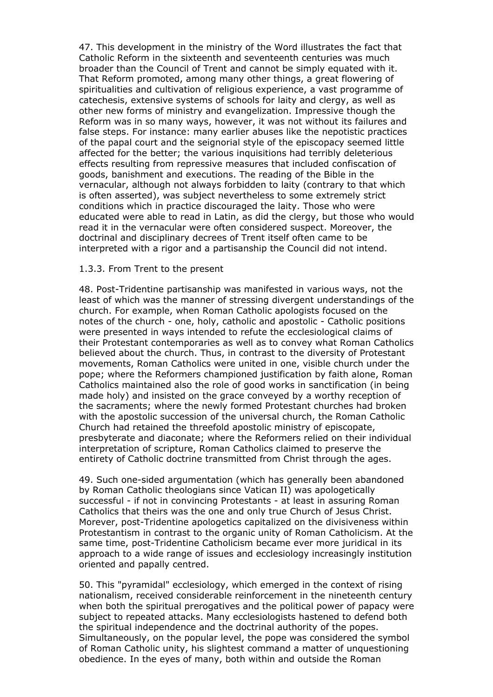47. This development in the ministry of the Word illustrates the fact that Catholic Reform in the sixteenth and seventeenth centuries was much broader than the Council of Trent and cannot be simply equated with it. That Reform promoted, among many other things, a great flowering of spiritualities and cultivation of religious experience, a vast programme of catechesis, extensive systems of schools for laity and clergy, as well as other new forms of ministry and evangelization. Impressive though the Reform was in so many ways, however, it was not without its failures and false steps. For instance: many earlier abuses like the nepotistic practices of the papal court and the seignorial style of the episcopacy seemed little affected for the better; the various inquisitions had terribly deleterious effects resulting from repressive measures that included confiscation of goods, banishment and executions. The reading of the Bible in the vernacular, although not always forbidden to laity (contrary to that which is often asserted), was subject nevertheless to some extremely strict conditions which in practice discouraged the laity. Those who were educated were able to read in Latin, as did the clergy, but those who would read it in the vernacular were often considered suspect. Moreover, the doctrinal and disciplinary decrees of Trent itself often came to be interpreted with a rigor and a partisanship the Council did not intend.

#### 1.3.3. From Trent to the present

48. Post-Tridentine partisanship was manifested in various ways, not the least of which was the manner of stressing divergent understandings of the church. For example, when Roman Catholic apologists focused on the notes of the church - one, holy, catholic and apostolic - Catholic positions were presented in ways intended to refute the ecclesiological claims of their Protestant contemporaries as well as to convey what Roman Catholics believed about the church. Thus, in contrast to the diversity of Protestant movements, Roman Catholics were united in one, visible church under the pope; where the Reformers championed justification by faith alone, Roman Catholics maintained also the role of good works in sanctification (in being made holy) and insisted on the grace conveyed by a worthy reception of the sacraments; where the newly formed Protestant churches had broken with the apostolic succession of the universal church, the Roman Catholic Church had retained the threefold apostolic ministry of episcopate, presbyterate and diaconate; where the Reformers relied on their individual interpretation of scripture, Roman Catholics claimed to preserve the entirety of Catholic doctrine transmitted from Christ through the ages.

49. Such one-sided argumentation (which has generally been abandoned by Roman Catholic theologians since Vatican II) was apologetically successful - if not in convincing Protestants - at least in assuring Roman Catholics that theirs was the one and only true Church of Jesus Christ. Morever, post-Tridentine apologetics capitalized on the divisiveness within Protestantism in contrast to the organic unity of Roman Catholicism. At the same time, post-Tridentine Catholicism became ever more juridical in its approach to a wide range of issues and ecclesiology increasingly institution oriented and papally centred.

50. This "pyramidal" ecclesiology, which emerged in the context of rising nationalism, received considerable reinforcement in the nineteenth century when both the spiritual prerogatives and the political power of papacy were subject to repeated attacks. Many ecclesiologists hastened to defend both the spiritual independence and the doctrinal authority of the popes. Simultaneously, on the popular level, the pope was considered the symbol of Roman Catholic unity, his slightest command a matter of unquestioning obedience. In the eyes of many, both within and outside the Roman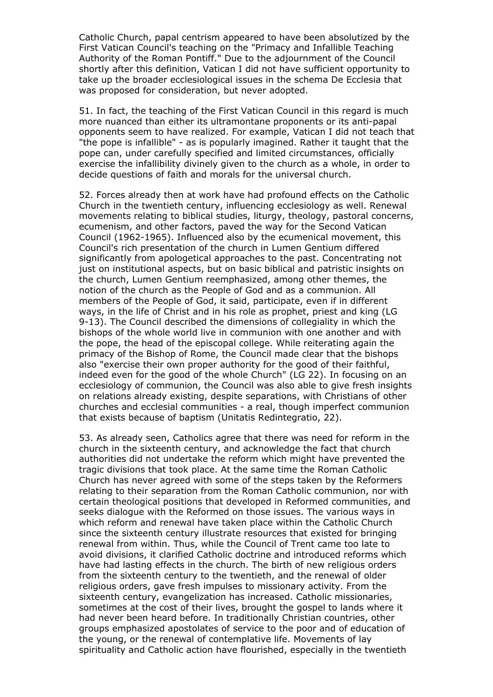Catholic Church, papal centrism appeared to have been absolutized by the First Vatican Council's teaching on the "Primacy and Infallible Teaching Authority of the Roman Pontiff." Due to the adjournment of the Council shortly after this definition, Vatican I did not have sufficient opportunity to take up the broader ecclesiological issues in the schema De Ecclesia that was proposed for consideration, but never adopted.

51. In fact, the teaching of the First Vatican Council in this regard is much more nuanced than either its ultramontane proponents or its anti-papal opponents seem to have realized. For example, Vatican I did not teach that "the pope is infallible" - as is popularly imagined. Rather it taught that the pope can, under carefully specified and limited circumstances, officially exercise the infallibility divinely given to the church as a whole, in order to decide questions of faith and morals for the universal church.

52. Forces already then at work have had profound effects on the Catholic Church in the twentieth century, influencing ecclesiology as well. Renewal movements relating to biblical studies, liturgy, theology, pastoral concerns, ecumenism, and other factors, paved the way for the Second Vatican Council (1962-1965). Influenced also by the ecumenical movement, this Council's rich presentation of the church in Lumen Gentium differed significantly from apologetical approaches to the past. Concentrating not just on institutional aspects, but on basic biblical and patristic insights on the church, Lumen Gentium reemphasized, among other themes, the notion of the church as the People of God and as a communion. All members of the People of God, it said, participate, even if in different ways, in the life of Christ and in his role as prophet, priest and king (LG 9-13). The Council described the dimensions of collegiality in which the bishops of the whole world live in communion with one another and with the pope, the head of the episcopal college. While reiterating again the primacy of the Bishop of Rome, the Council made clear that the bishops also "exercise their own proper authority for the good of their faithful, indeed even for the good of the whole Church" (LG 22). In focusing on an ecclesiology of communion, the Council was also able to give fresh insights on relations already existing, despite separations, with Christians of other churches and ecclesial communities - a real, though imperfect communion that exists because of baptism (Unitatis Redintegratio, 22).

53. As already seen, Catholics agree that there was need for reform in the church in the sixteenth century, and acknowledge the fact that church authorities did not undertake the reform which might have prevented the tragic divisions that took place. At the same time the Roman Catholic Church has never agreed with some of the steps taken by the Reformers relating to their separation from the Roman Catholic communion, nor with certain theological positions that developed in Reformed communities, and seeks dialogue with the Reformed on those issues. The various ways in which reform and renewal have taken place within the Catholic Church since the sixteenth century illustrate resources that existed for bringing renewal from within. Thus, while the Council of Trent came too late to avoid divisions, it clarified Catholic doctrine and introduced reforms which have had lasting effects in the church. The birth of new religious orders from the sixteenth century to the twentieth, and the renewal of older religious orders, gave fresh impulses to missionary activity. From the sixteenth century, evangelization has increased. Catholic missionaries, sometimes at the cost of their lives, brought the gospel to lands where it had never been heard before. In traditionally Christian countries, other groups emphasized apostolates of service to the poor and of education of the young, or the renewal of contemplative life. Movements of lay spirituality and Catholic action have flourished, especially in the twentieth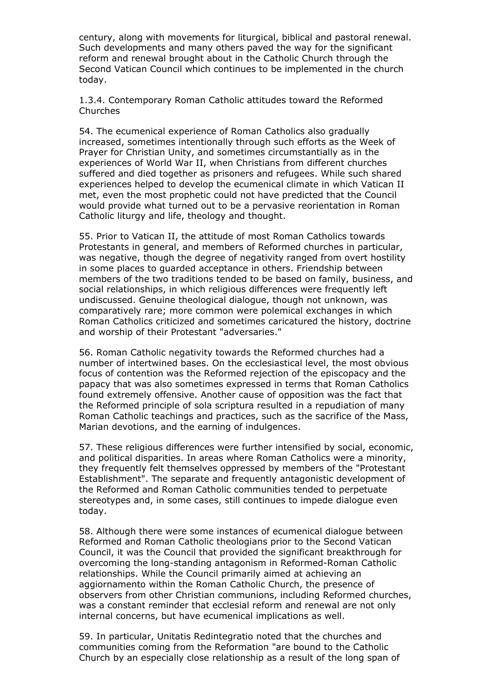century, along with movements for liturgical, biblical and pastoral renewal. Such developments and many others paved the way for the significant reform and renewal brought about in the Catholic Church through the Second Vatican Council which continues to be implemented in the church today.

1.3.4. Contemporary Roman Catholic attitudes toward the Reformed Churches

54. The ecumenical experience of Roman Catholics also gradually increased, sometimes intentionally through such efforts as the Week of Prayer for Christian Unity, and sometimes circumstantially as in the experiences of World War II, when Christians from different churches suffered and died together as prisoners and refugees. While such shared experiences helped to develop the ecumenical climate in which Vatican II met, even the most prophetic could not have predicted that the Council would provide what turned out to be a pervasive reorientation in Roman Catholic liturgy and life, theology and thought.

55. Prior to Vatican II, the attitude of most Roman Catholics towards Protestants in general, and members of Reformed churches in particular, was negative, though the degree of negativity ranged from overt hostility in some places to guarded acceptance in others. Friendship between members of the two traditions tended to be based on family, business, and social relationships, in which religious differences were frequently left undiscussed. Genuine theological dialogue, though not unknown, was comparatively rare; more common were polemical exchanges in which Roman Catholics criticized and sometimes caricatured the history, doctrine and worship of their Protestant "adversaries."

56. Roman Catholic negativity towards the Reformed churches had a number of intertwined bases. On the ecclesiastical level, the most obvious focus of contention was the Reformed rejection of the episcopacy and the papacy that was also sometimes expressed in terms that Roman Catholics found extremely offensive. Another cause of opposition was the fact that the Reformed principle of sola scriptura resulted in a repudiation of many Roman Catholic teachings and practices, such as the sacrifice of the Mass, Marian devotions, and the earning of indulgences.

57. These religious differences were further intensified by social, economic, and political disparities. In areas where Roman Catholics were a minority, they frequently felt themselves oppressed by members of the "Protestant Establishment". The separate and frequently antagonistic development of the Reformed and Roman Catholic communities tended to perpetuate stereotypes and, in some cases, still continues to impede dialogue even today.

58. Although there were some instances of ecumenical dialogue between Reformed and Roman Catholic theologians prior to the Second Vatican Council, it was the Council that provided the significant breakthrough for overcoming the long-standing antagonism in Reformed-Roman Catholic relationships. While the Council primarily aimed at achieving an aggiornamento within the Roman Catholic Church, the presence of observers from other Christian communions, including Reformed churches, was a constant reminder that ecclesial reform and renewal are not only internal concerns, but have ecumenical implications as well.

59. In particular, Unitatis Redintegratio noted that the churches and communities coming from the Reformation "are bound to the Catholic Church by an especially close relationship as a result of the long span of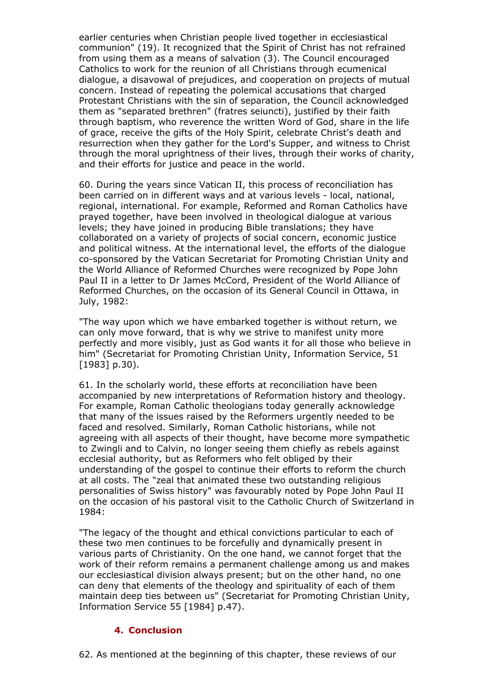earlier centuries when Christian people lived together in ecclesiastical communion" (19). It recognized that the Spirit of Christ has not refrained from using them as a means of salvation (3). The Council encouraged Catholics to work for the reunion of all Christians through ecumenical dialogue, a disavowal of prejudices, and cooperation on projects of mutual concern. Instead of repeating the polemical accusations that charged Protestant Christians with the sin of separation, the Council acknowledged them as "separated brethren" (fratres seiuncti), justified by their faith through baptism, who reverence the written Word of God, share in the life of grace, receive the gifts of the Holy Spirit, celebrate Christ's death and resurrection when they gather for the Lord's Supper, and witness to Christ through the moral uprightness of their lives, through their works of charity, and their efforts for justice and peace in the world.

60. During the years since Vatican II, this process of reconciliation has been carried on in different ways and at various levels - local, national, regional, international. For example, Reformed and Roman Catholics have prayed together, have been involved in theological dialogue at various levels; they have joined in producing Bible translations; they have collaborated on a variety of projects of social concern, economic justice and political witness. At the international level, the efforts of the dialogue co-sponsored by the Vatican Secretariat for Promoting Christian Unity and the World Alliance of Reformed Churches were recognized by Pope John Paul II in a letter to Dr James McCord, President of the World Alliance of Reformed Churches, on the occasion of its General Council in Ottawa, in July, 1982:

"The way upon which we have embarked together is without return, we can only move forward, that is why we strive to manifest unity more perfectly and more visibly, just as God wants it for all those who believe in him" (Secretariat for Promoting Christian Unity, Information Service, 51 [1983] p.30).

61. In the scholarly world, these efforts at reconciliation have been accompanied by new interpretations of Reformation history and theology. For example, Roman Catholic theologians today generally acknowledge that many of the issues raised by the Reformers urgently needed to be faced and resolved. Similarly, Roman Catholic historians, while not agreeing with all aspects of their thought, have become more sympathetic to Zwingli and to Calvin, no longer seeing them chiefly as rebels against ecclesial authority, but as Reformers who felt obliged by their understanding of the gospel to continue their efforts to reform the church at all costs. The "zeal that animated these two outstanding religious personalities of Swiss history" was favourably noted by Pope John Paul II on the occasion of his pastoral visit to the Catholic Church of Switzerland in 1984:

"The legacy of the thought and ethical convictions particular to each of these two men continues to be forcefully and dynamically present in various parts of Christianity. On the one hand, we cannot forget that the work of their reform remains a permanent challenge among us and makes our ecclesiastical division always present; but on the other hand, no one can deny that elements of the theology and spirituality of each of them maintain deep ties between us" (Secretariat for Promoting Christian Unity, Information Service 55 [1984] p.47).

# **4. Conclusion**

62. As mentioned at the beginning of this chapter, these reviews of our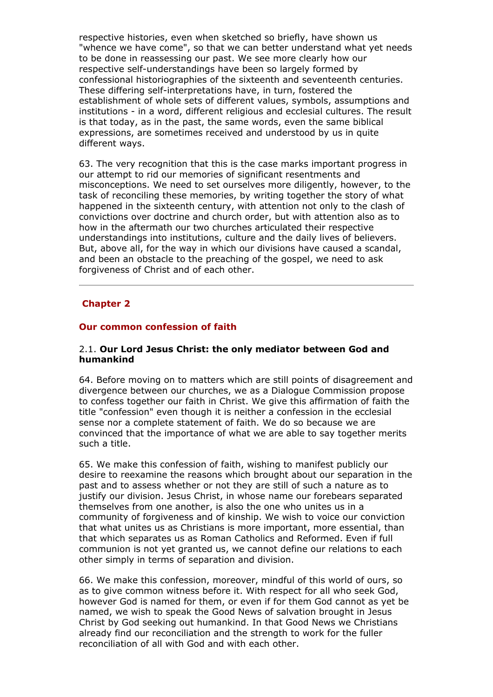respective histories, even when sketched so briefly, have shown us "whence we have come", so that we can better understand what yet needs to be done in reassessing our past. We see more clearly how our respective self-understandings have been so largely formed by confessional historiographies of the sixteenth and seventeenth centuries. These differing self-interpretations have, in turn, fostered the establishment of whole sets of different values, symbols, assumptions and institutions - in a word, different religious and ecclesial cultures. The result is that today, as in the past, the same words, even the same biblical expressions, are sometimes received and understood by us in quite different ways.

63. The very recognition that this is the case marks important progress in our attempt to rid our memories of significant resentments and misconceptions. We need to set ourselves more diligently, however, to the task of reconciling these memories, by writing together the story of what happened in the sixteenth century, with attention not only to the clash of convictions over doctrine and church order, but with attention also as to how in the aftermath our two churches articulated their respective understandings into institutions, culture and the daily lives of believers. But, above all, for the way in which our divisions have caused a scandal, and been an obstacle to the preaching of the gospel, we need to ask forgiveness of Christ and of each other.

# **Chapter 2**

#### **Our common confession of faith**

#### 2.1. **Our Lord Jesus Christ: the only mediator between God and humankind**

64. Before moving on to matters which are still points of disagreement and divergence between our churches, we as a Dialogue Commission propose to confess together our faith in Christ. We give this affirmation of faith the title "confession" even though it is neither a confession in the ecclesial sense nor a complete statement of faith. We do so because we are convinced that the importance of what we are able to say together merits such a title.

65. We make this confession of faith, wishing to manifest publicly our desire to reexamine the reasons which brought about our separation in the past and to assess whether or not they are still of such a nature as to justify our division. Jesus Christ, in whose name our forebears separated themselves from one another, is also the one who unites us in a community of forgiveness and of kinship. We wish to voice our conviction that what unites us as Christians is more important, more essential, than that which separates us as Roman Catholics and Reformed. Even if full communion is not yet granted us, we cannot define our relations to each other simply in terms of separation and division.

66. We make this confession, moreover, mindful of this world of ours, so as to give common witness before it. With respect for all who seek God, however God is named for them, or even if for them God cannot as yet be named, we wish to speak the Good News of salvation brought in Jesus Christ by God seeking out humankind. In that Good News we Christians already find our reconciliation and the strength to work for the fuller reconciliation of all with God and with each other.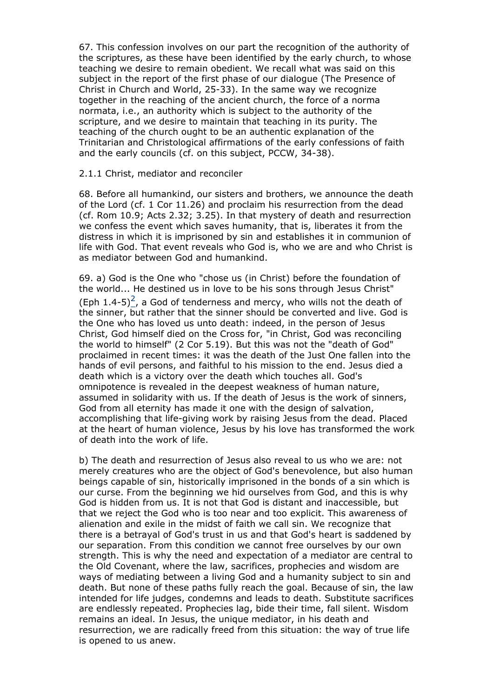67. This confession involves on our part the recognition of the authority of the scriptures, as these have been identified by the early church, to whose teaching we desire to remain obedient. We recall what was said on this subject in the report of the first phase of our dialogue (The Presence of Christ in Church and World, 25-33). In the same way we recognize together in the reaching of the ancient church, the force of a norma normata, i.e., an authority which is subject to the authority of the scripture, and we desire to maintain that teaching in its purity. The teaching of the church ought to be an authentic explanation of the Trinitarian and Christological affirmations of the early confessions of faith and the early councils (cf. on this subject, PCCW, 34-38).

#### 2.1.1 Christ, mediator and reconciler

68. Before all humankind, our sisters and brothers, we announce the death of the Lord (cf. 1 Cor 11.26) and proclaim his resurrection from the dead (cf. Rom 10.9; Acts 2.32; 3.25). In that mystery of death and resurrection we confess the event which saves humanity, that is, liberates it from the distress in which it is imprisoned by sin and establishes it in communion of life with God. That event reveals who God is, who we are and who Christ is as mediator between God and humankind.

69. a) God is the One who "chose us (in Christ) before the foundation of the world... He destined us in love to be his sons through Jesus Christ" (Eph 1.4-5) $\frac{2}{5}$ , a God of tenderness and mercy, who wills not the death of the sinner, but rather that the sinner should be converted and live. God is the One who has loved us unto death: indeed, in the person of Jesus Christ, God himself died on the Cross for, "in Christ, God was reconciling the world to himself" (2 Cor 5.19). But this was not the "death of God" proclaimed in recent times: it was the death of the Just One fallen into the hands of evil persons, and faithful to his mission to the end. Jesus died a death which is a victory over the death which touches all. God's omnipotence is revealed in the deepest weakness of human nature, assumed in solidarity with us. If the death of Jesus is the work of sinners, God from all eternity has made it one with the design of salvation, accomplishing that life-giving work by raising Jesus from the dead. Placed at the heart of human violence, Jesus by his love has transformed the work of death into the work of life.

b) The death and resurrection of Jesus also reveal to us who we are: not merely creatures who are the object of God's benevolence, but also human beings capable of sin, historically imprisoned in the bonds of a sin which is our curse. From the beginning we hid ourselves from God, and this is why God is hidden from us. It is not that God is distant and inaccessible, but that we reject the God who is too near and too explicit. This awareness of alienation and exile in the midst of faith we call sin. We recognize that there is a betrayal of God's trust in us and that God's heart is saddened by our separation. From this condition we cannot free ourselves by our own strength. This is why the need and expectation of a mediator are central to the Old Covenant, where the law, sacrifices, prophecies and wisdom are ways of mediating between a living God and a humanity subject to sin and death. But none of these paths fully reach the goal. Because of sin, the law intended for life judges, condemns and leads to death. Substitute sacrifices are endlessly repeated. Prophecies lag, bide their time, fall silent. Wisdom remains an ideal. In Jesus, the unique mediator, in his death and resurrection, we are radically freed from this situation: the way of true life is opened to us anew.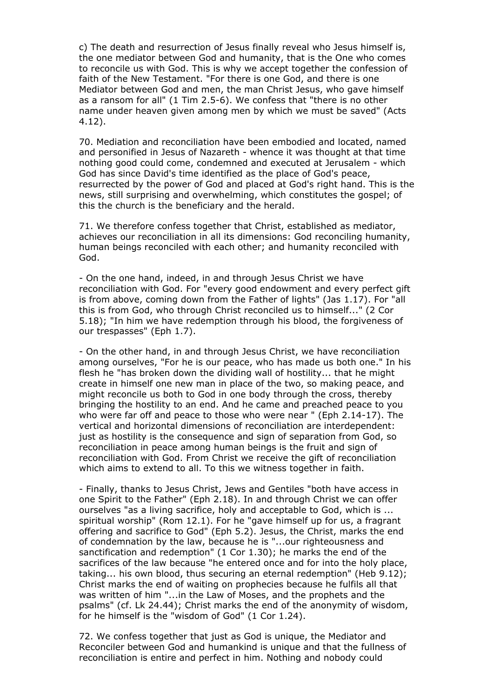c) The death and resurrection of Jesus finally reveal who Jesus himself is, the one mediator between God and humanity, that is the One who comes to reconcile us with God. This is why we accept together the confession of faith of the New Testament. "For there is one God, and there is one Mediator between God and men, the man Christ Jesus, who gave himself as a ransom for all" (1 Tim 2.5-6). We confess that "there is no other name under heaven given among men by which we must be saved" (Acts 4.12).

70. Mediation and reconciliation have been embodied and located, named and personified in Jesus of Nazareth - whence it was thought at that time nothing good could come, condemned and executed at Jerusalem - which God has since David's time identified as the place of God's peace, resurrected by the power of God and placed at God's right hand. This is the news, still surprising and overwhelming, which constitutes the gospel; of this the church is the beneficiary and the herald.

71. We therefore confess together that Christ, established as mediator, achieves our reconciliation in all its dimensions: God reconciling humanity, human beings reconciled with each other; and humanity reconciled with God.

- On the one hand, indeed, in and through Jesus Christ we have reconciliation with God. For "every good endowment and every perfect gift is from above, coming down from the Father of lights" (Jas 1.17). For "all this is from God, who through Christ reconciled us to himself..." (2 Cor 5.18); "In him we have redemption through his blood, the forgiveness of our trespasses" (Eph 1.7).

- On the other hand, in and through Jesus Christ, we have reconciliation among ourselves, "For he is our peace, who has made us both one." In his flesh he "has broken down the dividing wall of hostility... that he might create in himself one new man in place of the two, so making peace, and might reconcile us both to God in one body through the cross, thereby bringing the hostility to an end. And he came and preached peace to you who were far off and peace to those who were near " (Eph 2.14-17). The vertical and horizontal dimensions of reconciliation are interdependent: just as hostility is the consequence and sign of separation from God, so reconciliation in peace among human beings is the fruit and sign of reconciliation with God. From Christ we receive the gift of reconciliation which aims to extend to all. To this we witness together in faith.

- Finally, thanks to Jesus Christ, Jews and Gentiles "both have access in one Spirit to the Father" (Eph 2.18). In and through Christ we can offer ourselves "as a living sacrifice, holy and acceptable to God, which is ... spiritual worship" (Rom 12.1). For he "gave himself up for us, a fragrant offering and sacrifice to God" (Eph 5.2). Jesus, the Christ, marks the end of condemnation by the law, because he is "...our righteousness and sanctification and redemption" (1 Cor 1.30); he marks the end of the sacrifices of the law because "he entered once and for into the holy place, taking... his own blood, thus securing an eternal redemption" (Heb 9.12); Christ marks the end of waiting on prophecies because he fulfils all that was written of him "...in the Law of Moses, and the prophets and the psalms" (cf. Lk 24.44); Christ marks the end of the anonymity of wisdom, for he himself is the "wisdom of God" (1 Cor 1.24).

72. We confess together that just as God is unique, the Mediator and Reconciler between God and humankind is unique and that the fullness of reconciliation is entire and perfect in him. Nothing and nobody could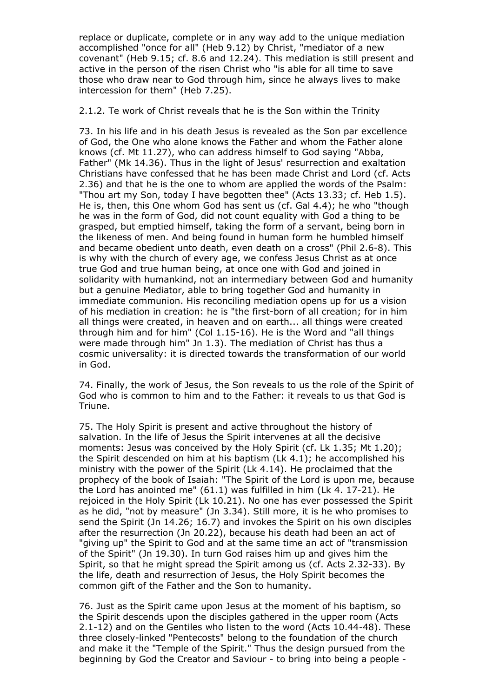replace or duplicate, complete or in any way add to the unique mediation accomplished "once for all" (Heb 9.12) by Christ, "mediator of a new covenant" (Heb 9.15; cf. 8.6 and 12.24). This mediation is still present and active in the person of the risen Christ who "is able for all time to save those who draw near to God through him, since he always lives to make intercession for them" (Heb 7.25).

## 2.1.2. Te work of Christ reveals that he is the Son within the Trinity

73. In his life and in his death Jesus is revealed as the Son par excellence of God, the One who alone knows the Father and whom the Father alone knows (cf. Mt 11.27), who can address himself to God saying "Abba, Father" (Mk 14.36). Thus in the light of Jesus' resurrection and exaltation Christians have confessed that he has been made Christ and Lord (cf. Acts 2.36) and that he is the one to whom are applied the words of the Psalm: "Thou art my Son, today I have begotten thee" (Acts 13.33; cf. Heb 1.5). He is, then, this One whom God has sent us (cf. Gal 4.4); he who "though he was in the form of God, did not count equality with God a thing to be grasped, but emptied himself, taking the form of a servant, being born in the likeness of men. And being found in human form he humbled himself and became obedient unto death, even death on a cross" (Phil 2.6-8). This is why with the church of every age, we confess Jesus Christ as at once true God and true human being, at once one with God and joined in solidarity with humankind, not an intermediary between God and humanity but a genuine Mediator, able to bring together God and humanity in immediate communion. His reconciling mediation opens up for us a vision of his mediation in creation: he is "the first-born of all creation; for in him all things were created, in heaven and on earth... all things were created through him and for him" (Col 1.15-16). He is the Word and "all things were made through him" Jn 1.3). The mediation of Christ has thus a cosmic universality: it is directed towards the transformation of our world in God.

74. Finally, the work of Jesus, the Son reveals to us the role of the Spirit of God who is common to him and to the Father: it reveals to us that God is Triune.

75. The Holy Spirit is present and active throughout the history of salvation. In the life of Jesus the Spirit intervenes at all the decisive moments: Jesus was conceived by the Holy Spirit (cf. Lk 1.35; Mt 1.20); the Spirit descended on him at his baptism (Lk 4.1); he accomplished his ministry with the power of the Spirit (Lk 4.14). He proclaimed that the prophecy of the book of Isaiah: "The Spirit of the Lord is upon me, because the Lord has anointed me" (61.1) was fulfilled in him (Lk 4. 17-21). He rejoiced in the Holy Spirit (Lk 10.21). No one has ever possessed the Spirit as he did, "not by measure" (Jn 3.34). Still more, it is he who promises to send the Spirit (Jn 14.26; 16.7) and invokes the Spirit on his own disciples after the resurrection (Jn 20.22), because his death had been an act of "giving up" the Spirit to God and at the same time an act of "transmission of the Spirit" (Jn 19.30). In turn God raises him up and gives him the Spirit, so that he might spread the Spirit among us (cf. Acts 2.32-33). By the life, death and resurrection of Jesus, the Holy Spirit becomes the common gift of the Father and the Son to humanity.

76. Just as the Spirit came upon Jesus at the moment of his baptism, so the Spirit descends upon the disciples gathered in the upper room (Acts 2.1-12) and on the Gentiles who listen to the word (Acts 10.44-48). These three closely-linked "Pentecosts" belong to the foundation of the church and make it the "Temple of the Spirit." Thus the design pursued from the beginning by God the Creator and Saviour - to bring into being a people -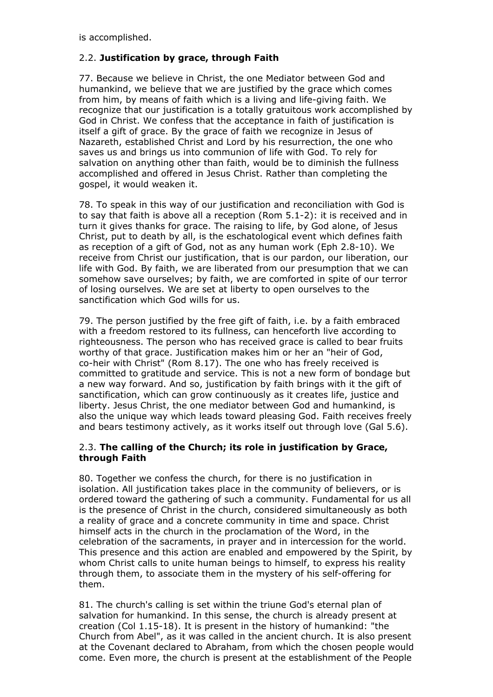is accomplished.

# 2.2. **Justification by grace, through Faith**

77. Because we believe in Christ, the one Mediator between God and humankind, we believe that we are justified by the grace which comes from him, by means of faith which is a living and life-giving faith. We recognize that our justification is a totally gratuitous work accomplished by God in Christ. We confess that the acceptance in faith of justification is itself a gift of grace. By the grace of faith we recognize in Jesus of Nazareth, established Christ and Lord by his resurrection, the one who saves us and brings us into communion of life with God. To rely for salvation on anything other than faith, would be to diminish the fullness accomplished and offered in Jesus Christ. Rather than completing the gospel, it would weaken it.

78. To speak in this way of our justification and reconciliation with God is to say that faith is above all a reception (Rom 5.1-2): it is received and in turn it gives thanks for grace. The raising to life, by God alone, of Jesus Christ, put to death by all, is the eschatological event which defines faith as reception of a gift of God, not as any human work (Eph 2.8-10). We receive from Christ our justification, that is our pardon, our liberation, our life with God. By faith, we are liberated from our presumption that we can somehow save ourselves; by faith, we are comforted in spite of our terror of losing ourselves. We are set at liberty to open ourselves to the sanctification which God wills for us.

79. The person justified by the free gift of faith, i.e. by a faith embraced with a freedom restored to its fullness, can henceforth live according to righteousness. The person who has received grace is called to bear fruits worthy of that grace. Justification makes him or her an "heir of God, co-heir with Christ" (Rom 8.17). The one who has freely received is committed to gratitude and service. This is not a new form of bondage but a new way forward. And so, justification by faith brings with it the gift of sanctification, which can grow continuously as it creates life, justice and liberty. Jesus Christ, the one mediator between God and humankind, is also the unique way which leads toward pleasing God. Faith receives freely and bears testimony actively, as it works itself out through love (Gal 5.6).

## 2.3. **The calling of the Church; its role in justification by Grace, through Faith**

80. Together we confess the church, for there is no justification in isolation. All justification takes place in the community of believers, or is ordered toward the gathering of such a community. Fundamental for us all is the presence of Christ in the church, considered simultaneously as both a reality of grace and a concrete community in time and space. Christ himself acts in the church in the proclamation of the Word, in the celebration of the sacraments, in prayer and in intercession for the world. This presence and this action are enabled and empowered by the Spirit, by whom Christ calls to unite human beings to himself, to express his reality through them, to associate them in the mystery of his self-offering for them.

81. The church's calling is set within the triune God's eternal plan of salvation for humankind. In this sense, the church is already present at creation (Col 1.15-18). It is present in the history of humankind: "the Church from Abel", as it was called in the ancient church. It is also present at the Covenant declared to Abraham, from which the chosen people would come. Even more, the church is present at the establishment of the People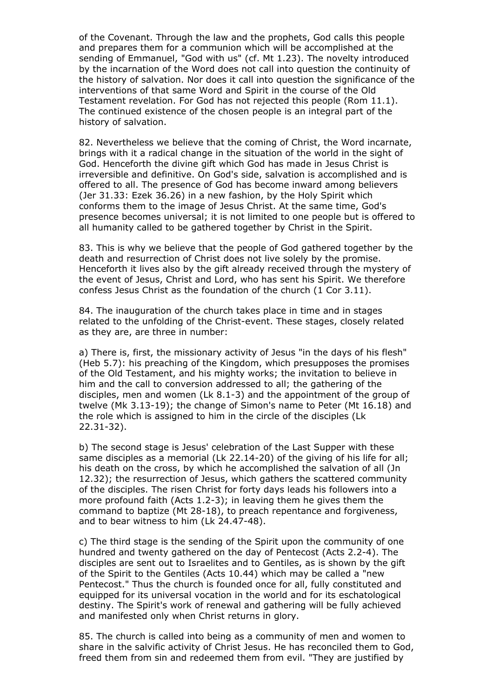of the Covenant. Through the law and the prophets, God calls this people and prepares them for a communion which will be accomplished at the sending of Emmanuel, "God with us" (cf. Mt 1.23). The novelty introduced by the incarnation of the Word does not call into question the continuity of the history of salvation. Nor does it call into question the significance of the interventions of that same Word and Spirit in the course of the Old Testament revelation. For God has not rejected this people (Rom 11.1). The continued existence of the chosen people is an integral part of the history of salvation.

82. Nevertheless we believe that the coming of Christ, the Word incarnate, brings with it a radical change in the situation of the world in the sight of God. Henceforth the divine gift which God has made in Jesus Christ is irreversible and definitive. On God's side, salvation is accomplished and is offered to all. The presence of God has become inward among believers (Jer 31.33: Ezek 36.26) in a new fashion, by the Holy Spirit which conforms them to the image of Jesus Christ. At the same time, God's presence becomes universal; it is not limited to one people but is offered to all humanity called to be gathered together by Christ in the Spirit.

83. This is why we believe that the people of God gathered together by the death and resurrection of Christ does not live solely by the promise. Henceforth it lives also by the gift already received through the mystery of the event of Jesus, Christ and Lord, who has sent his Spirit. We therefore confess Jesus Christ as the foundation of the church (1 Cor 3.11).

84. The inauguration of the church takes place in time and in stages related to the unfolding of the Christ-event. These stages, closely related as they are, are three in number:

a) There is, first, the missionary activity of Jesus "in the days of his flesh" (Heb 5.7): his preaching of the Kingdom, which presupposes the promises of the Old Testament, and his mighty works; the invitation to believe in him and the call to conversion addressed to all; the gathering of the disciples, men and women (Lk 8.1-3) and the appointment of the group of twelve (Mk 3.13-19); the change of Simon's name to Peter (Mt 16.18) and the role which is assigned to him in the circle of the disciples (Lk 22.31-32).

b) The second stage is Jesus' celebration of the Last Supper with these same disciples as a memorial (Lk 22.14-20) of the giving of his life for all; his death on the cross, by which he accomplished the salvation of all (Jn 12.32); the resurrection of Jesus, which gathers the scattered community of the disciples. The risen Christ for forty days leads his followers into a more profound faith (Acts 1.2-3); in leaving them he gives them the command to baptize (Mt 28-18), to preach repentance and forgiveness, and to bear witness to him (Lk 24.47-48).

c) The third stage is the sending of the Spirit upon the community of one hundred and twenty gathered on the day of Pentecost (Acts 2.2-4). The disciples are sent out to Israelites and to Gentiles, as is shown by the gift of the Spirit to the Gentiles (Acts 10.44) which may be called a "new Pentecost." Thus the church is founded once for all, fully constituted and equipped for its universal vocation in the world and for its eschatological destiny. The Spirit's work of renewal and gathering will be fully achieved and manifested only when Christ returns in glory.

85. The church is called into being as a community of men and women to share in the salvific activity of Christ Jesus. He has reconciled them to God, freed them from sin and redeemed them from evil. "They are justified by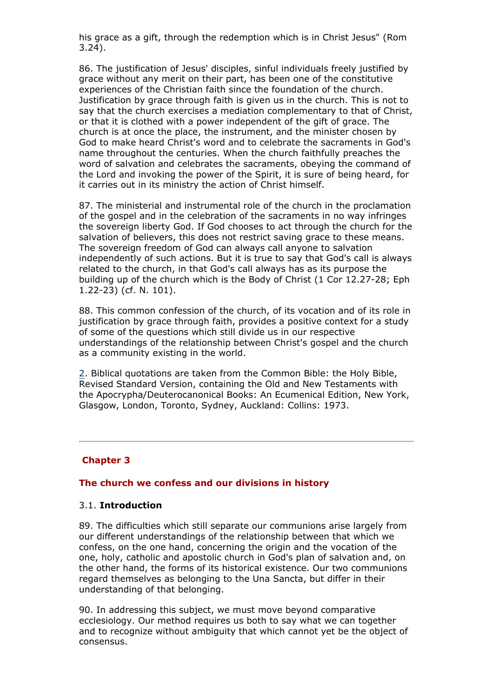his grace as a gift, through the redemption which is in Christ Jesus" (Rom 3.24).

86. The justification of Jesus' disciples, sinful individuals freely justified by grace without any merit on their part, has been one of the constitutive experiences of the Christian faith since the foundation of the church. Justification by grace through faith is given us in the church. This is not to say that the church exercises a mediation complementary to that of Christ, or that it is clothed with a power independent of the gift of grace. The church is at once the place, the instrument, and the minister chosen by God to make heard Christ's word and to celebrate the sacraments in God's name throughout the centuries. When the church faithfully preaches the word of salvation and celebrates the sacraments, obeying the command of the Lord and invoking the power of the Spirit, it is sure of being heard, for it carries out in its ministry the action of Christ himself.

87. The ministerial and instrumental role of the church in the proclamation of the gospel and in the celebration of the sacraments in no way infringes the sovereign liberty God. If God chooses to act through the church for the salvation of believers, this does not restrict saving grace to these means. The sovereign freedom of God can always call anyone to salvation independently of such actions. But it is true to say that God's call is always related to the church, in that God's call always has as its purpose the building up of the church which is the Body of Christ (1 Cor 12.27-28; Eph 1.22-23) (cf. N. 101).

88. This common confession of the church, of its vocation and of its role in justification by grace through faith, provides a positive context for a study of some of the questions which still divide us in our respective understandings of the relationship between Christ's gospel and the church as a community existing in the world.

2. Biblical quotations are taken from the Common Bible: the Holy Bible, Revised Standard Version, containing the Old and New Testaments with the Apocrypha/Deuterocanonical Books: An Ecumenical Edition, New York, Glasgow, London, Toronto, Sydney, Auckland: Collins: 1973.

## **Chapter 3**

## **The church we confess and our divisions in history**

#### 3.1. **Introduction**

89. The difficulties which still separate our communions arise largely from our different understandings of the relationship between that which we confess, on the one hand, concerning the origin and the vocation of the one, holy, catholic and apostolic church in God's plan of salvation and, on the other hand, the forms of its historical existence. Our two communions regard themselves as belonging to the Una Sancta, but differ in their understanding of that belonging.

90. In addressing this subject, we must move beyond comparative ecclesiology. Our method requires us both to say what we can together and to recognize without ambiguity that which cannot yet be the object of consensus.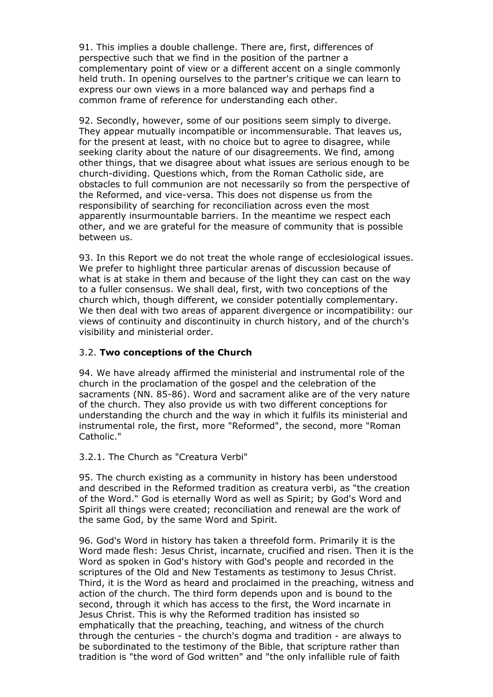91. This implies a double challenge. There are, first, differences of perspective such that we find in the position of the partner a complementary point of view or a different accent on a single commonly held truth. In opening ourselves to the partner's critique we can learn to express our own views in a more balanced way and perhaps find a common frame of reference for understanding each other.

92. Secondly, however, some of our positions seem simply to diverge. They appear mutually incompatible or incommensurable. That leaves us, for the present at least, with no choice but to agree to disagree, while seeking clarity about the nature of our disagreements. We find, among other things, that we disagree about what issues are serious enough to be church-dividing. Questions which, from the Roman Catholic side, are obstacles to full communion are not necessarily so from the perspective of the Reformed, and vice-versa. This does not dispense us from the responsibility of searching for reconciliation across even the most apparently insurmountable barriers. In the meantime we respect each other, and we are grateful for the measure of community that is possible between us.

93. In this Report we do not treat the whole range of ecclesiological issues. We prefer to highlight three particular arenas of discussion because of what is at stake in them and because of the light they can cast on the way to a fuller consensus. We shall deal, first, with two conceptions of the church which, though different, we consider potentially complementary. We then deal with two areas of apparent divergence or incompatibility: our views of continuity and discontinuity in church history, and of the church's visibility and ministerial order.

# 3.2. **Two conceptions of the Church**

94. We have already affirmed the ministerial and instrumental role of the church in the proclamation of the gospel and the celebration of the sacraments (NN. 85-86). Word and sacrament alike are of the very nature of the church. They also provide us with two different conceptions for understanding the church and the way in which it fulfils its ministerial and instrumental role, the first, more "Reformed", the second, more "Roman Catholic."

## 3.2.1. The Church as "Creatura Verbi"

95. The church existing as a community in history has been understood and described in the Reformed tradition as creatura verbi, as "the creation of the Word." God is eternally Word as well as Spirit; by God's Word and Spirit all things were created; reconciliation and renewal are the work of the same God, by the same Word and Spirit.

96. God's Word in history has taken a threefold form. Primarily it is the Word made flesh: Jesus Christ, incarnate, crucified and risen. Then it is the Word as spoken in God's history with God's people and recorded in the scriptures of the Old and New Testaments as testimony to Jesus Christ. Third, it is the Word as heard and proclaimed in the preaching, witness and action of the church. The third form depends upon and is bound to the second, through it which has access to the first, the Word incarnate in Jesus Christ. This is why the Reformed tradition has insisted so emphatically that the preaching, teaching, and witness of the church through the centuries - the church's dogma and tradition - are always to be subordinated to the testimony of the Bible, that scripture rather than tradition is "the word of God written" and "the only infallible rule of faith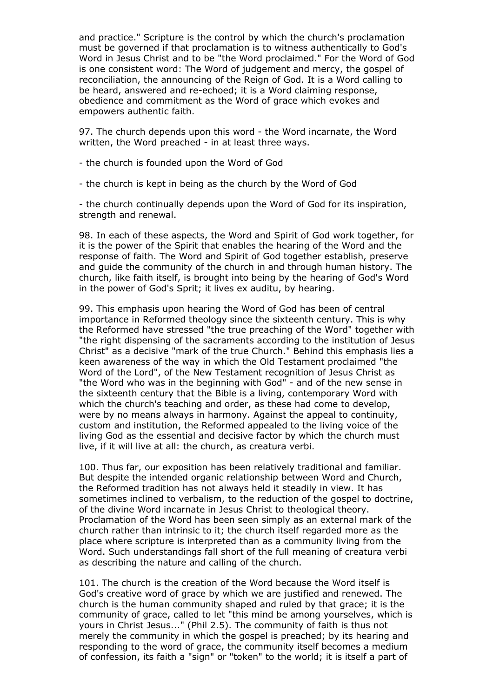and practice." Scripture is the control by which the church's proclamation must be governed if that proclamation is to witness authentically to God's Word in Jesus Christ and to be "the Word proclaimed." For the Word of God is one consistent word: The Word of judgement and mercy, the gospel of reconciliation, the announcing of the Reign of God. It is a Word calling to be heard, answered and re-echoed; it is a Word claiming response, obedience and commitment as the Word of grace which evokes and empowers authentic faith.

97. The church depends upon this word - the Word incarnate, the Word written, the Word preached - in at least three ways.

- the church is founded upon the Word of God

- the church is kept in being as the church by the Word of God

- the church continually depends upon the Word of God for its inspiration, strength and renewal.

98. In each of these aspects, the Word and Spirit of God work together, for it is the power of the Spirit that enables the hearing of the Word and the response of faith. The Word and Spirit of God together establish, preserve and guide the community of the church in and through human history. The church, like faith itself, is brought into being by the hearing of God's Word in the power of God's Sprit; it lives ex auditu, by hearing.

99. This emphasis upon hearing the Word of God has been of central importance in Reformed theology since the sixteenth century. This is why the Reformed have stressed "the true preaching of the Word" together with "the right dispensing of the sacraments according to the institution of Jesus Christ" as a decisive "mark of the true Church." Behind this emphasis lies a keen awareness of the way in which the Old Testament proclaimed "the Word of the Lord", of the New Testament recognition of Jesus Christ as "the Word who was in the beginning with God" - and of the new sense in the sixteenth century that the Bible is a living, contemporary Word with which the church's teaching and order, as these had come to develop, were by no means always in harmony. Against the appeal to continuity, custom and institution, the Reformed appealed to the living voice of the living God as the essential and decisive factor by which the church must live, if it will live at all: the church, as creatura verbi.

100. Thus far, our exposition has been relatively traditional and familiar. But despite the intended organic relationship between Word and Church, the Reformed tradition has not always held it steadily in view. It has sometimes inclined to verbalism, to the reduction of the gospel to doctrine, of the divine Word incarnate in Jesus Christ to theological theory. Proclamation of the Word has been seen simply as an external mark of the church rather than intrinsic to it; the church itself regarded more as the place where scripture is interpreted than as a community living from the Word. Such understandings fall short of the full meaning of creatura verbi as describing the nature and calling of the church.

101. The church is the creation of the Word because the Word itself is God's creative word of grace by which we are justified and renewed. The church is the human community shaped and ruled by that grace; it is the community of grace, called to let "this mind be among yourselves, which is yours in Christ Jesus..." (Phil 2.5). The community of faith is thus not merely the community in which the gospel is preached; by its hearing and responding to the word of grace, the community itself becomes a medium of confession, its faith a "sign" or "token" to the world; it is itself a part of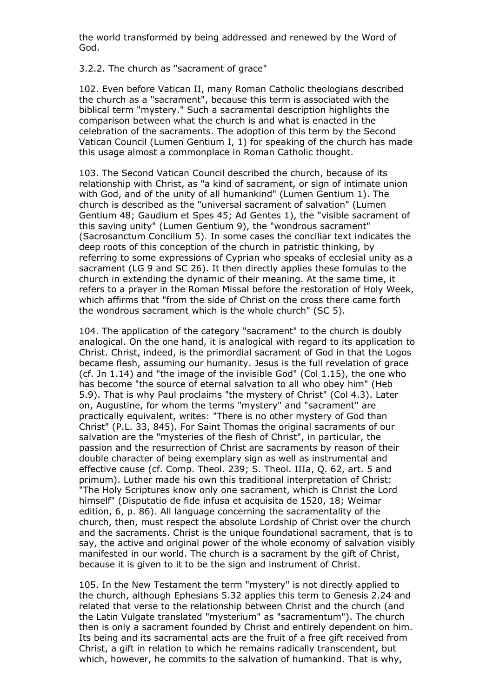the world transformed by being addressed and renewed by the Word of God.

3.2.2. The church as "sacrament of grace"

102. Even before Vatican II, many Roman Catholic theologians described the church as a "sacrament", because this term is associated with the biblical term "mystery." Such a sacramental description highlights the comparison between what the church is and what is enacted in the celebration of the sacraments. The adoption of this term by the Second Vatican Council (Lumen Gentium I, 1) for speaking of the church has made this usage almost a commonplace in Roman Catholic thought.

103. The Second Vatican Council described the church, because of its relationship with Christ, as "a kind of sacrament, or sign of intimate union with God, and of the unity of all humankind" (Lumen Gentium 1). The church is described as the "universal sacrament of salvation" (Lumen Gentium 48; Gaudium et Spes 45; Ad Gentes 1), the "visible sacrament of this saving unity" (Lumen Gentium 9), the "wondrous sacrament" (Sacrosanctum Concilium 5). In some cases the conciliar text indicates the deep roots of this conception of the church in patristic thinking, by referring to some expressions of Cyprian who speaks of ecclesial unity as a sacrament (LG 9 and SC 26). It then directly applies these fomulas to the church in extending the dynamic of their meaning. At the same time, it refers to a prayer in the Roman Missal before the restoration of Holy Week, which affirms that "from the side of Christ on the cross there came forth the wondrous sacrament which is the whole church" (SC 5).

104. The application of the category "sacrament" to the church is doubly analogical. On the one hand, it is analogical with regard to its application to Christ. Christ, indeed, is the primordial sacrament of God in that the Logos became flesh, assuming our humanity. Jesus is the full revelation of grace (cf. Jn 1.14) and "the image of the invisible God" (Col 1.15), the one who has become "the source of eternal salvation to all who obey him" (Heb 5.9). That is why Paul proclaims "the mystery of Christ" (Col 4.3). Later on, Augustine, for whom the terms "mystery" and "sacrament" are practically equivalent, writes: "There is no other mystery of God than Christ" (P.L. 33, 845). For Saint Thomas the original sacraments of our salvation are the "mysteries of the flesh of Christ", in particular, the passion and the resurrection of Christ are sacraments by reason of their double character of being exemplary sign as well as instrumental and effective cause (cf. Comp. Theol. 239; S. Theol. IIIa, Q. 62, art. 5 and primum). Luther made his own this traditional interpretation of Christ: "The Holy Scriptures know only one sacrament, which is Christ the Lord himself" (Disputatio de fide infusa et acquisita de 1520, 18; Weimar edition, 6, p. 86). All language concerning the sacramentality of the church, then, must respect the absolute Lordship of Christ over the church and the sacraments. Christ is the unique foundational sacrament, that is to say, the active and original power of the whole economy of salvation visibly manifested in our world. The church is a sacrament by the gift of Christ, because it is given to it to be the sign and instrument of Christ.

105. In the New Testament the term "mystery" is not directly applied to the church, although Ephesians 5.32 applies this term to Genesis 2.24 and related that verse to the relationship between Christ and the church (and the Latin Vulgate translated "mysterium" as "sacramentum"). The church then is only a sacrament founded by Christ and entirely dependent on him. Its being and its sacramental acts are the fruit of a free gift received from Christ, a gift in relation to which he remains radically transcendent, but which, however, he commits to the salvation of humankind. That is why,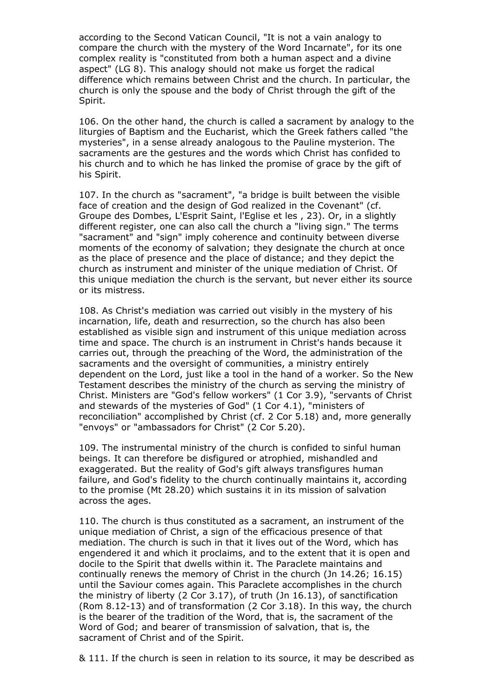according to the Second Vatican Council, "It is not a vain analogy to compare the church with the mystery of the Word Incarnate", for its one complex reality is "constituted from both a human aspect and a divine aspect" (LG 8). This analogy should not make us forget the radical difference which remains between Christ and the church. In particular, the church is only the spouse and the body of Christ through the gift of the Spirit.

106. On the other hand, the church is called a sacrament by analogy to the liturgies of Baptism and the Eucharist, which the Greek fathers called "the mysteries", in a sense already analogous to the Pauline mysterion. The sacraments are the gestures and the words which Christ has confided to his church and to which he has linked the promise of grace by the gift of his Spirit.

107. In the church as "sacrament", "a bridge is built between the visible face of creation and the design of God realized in the Covenant" (cf. Groupe des Dombes, L'Esprit Saint, l'Eglise et les , 23). Or, in a slightly different register, one can also call the church a "living sign." The terms "sacrament" and "sign" imply coherence and continuity between diverse moments of the economy of salvation; they designate the church at once as the place of presence and the place of distance; and they depict the church as instrument and minister of the unique mediation of Christ. Of this unique mediation the church is the servant, but never either its source or its mistress.

108. As Christ's mediation was carried out visibly in the mystery of his incarnation, life, death and resurrection, so the church has also been established as visible sign and instrument of this unique mediation across time and space. The church is an instrument in Christ's hands because it carries out, through the preaching of the Word, the administration of the sacraments and the oversight of communities, a ministry entirely dependent on the Lord, just like a tool in the hand of a worker. So the New Testament describes the ministry of the church as serving the ministry of Christ. Ministers are "God's fellow workers" (1 Cor 3.9), "servants of Christ and stewards of the mysteries of God" (1 Cor 4.1), "ministers of reconciliation" accomplished by Christ (cf. 2 Cor 5.18) and, more generally "envoys" or "ambassadors for Christ" (2 Cor 5.20).

109. The instrumental ministry of the church is confided to sinful human beings. It can therefore be disfigured or atrophied, mishandled and exaggerated. But the reality of God's gift always transfigures human failure, and God's fidelity to the church continually maintains it, according to the promise (Mt 28.20) which sustains it in its mission of salvation across the ages.

110. The church is thus constituted as a sacrament, an instrument of the unique mediation of Christ, a sign of the efficacious presence of that mediation. The church is such in that it lives out of the Word, which has engendered it and which it proclaims, and to the extent that it is open and docile to the Spirit that dwells within it. The Paraclete maintains and continually renews the memory of Christ in the church (Jn 14.26; 16.15) until the Saviour comes again. This Paraclete accomplishes in the church the ministry of liberty (2 Cor 3.17), of truth (Jn 16.13), of sanctification (Rom 8.12-13) and of transformation (2 Cor 3.18). In this way, the church is the bearer of the tradition of the Word, that is, the sacrament of the Word of God; and bearer of transmission of salvation, that is, the sacrament of Christ and of the Spirit.

& 111. If the church is seen in relation to its source, it may be described as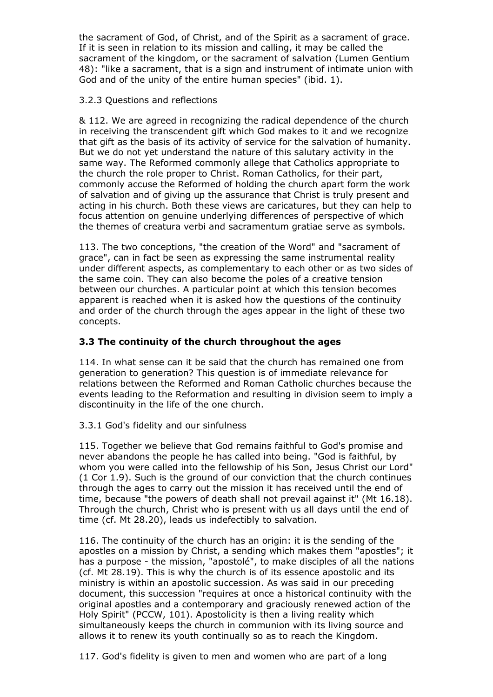the sacrament of God, of Christ, and of the Spirit as a sacrament of grace. If it is seen in relation to its mission and calling, it may be called the sacrament of the kingdom, or the sacrament of salvation (Lumen Gentium 48): "like a sacrament, that is a sign and instrument of intimate union with God and of the unity of the entire human species" (ibid. 1).

# 3.2.3 Questions and reflections

& 112. We are agreed in recognizing the radical dependence of the church in receiving the transcendent gift which God makes to it and we recognize that gift as the basis of its activity of service for the salvation of humanity. But we do not yet understand the nature of this salutary activity in the same way. The Reformed commonly allege that Catholics appropriate to the church the role proper to Christ. Roman Catholics, for their part, commonly accuse the Reformed of holding the church apart form the work of salvation and of giving up the assurance that Christ is truly present and acting in his church. Both these views are caricatures, but they can help to focus attention on genuine underlying differences of perspective of which the themes of creatura verbi and sacramentum gratiae serve as symbols.

113. The two conceptions, "the creation of the Word" and "sacrament of grace", can in fact be seen as expressing the same instrumental reality under different aspects, as complementary to each other or as two sides of the same coin. They can also become the poles of a creative tension between our churches. A particular point at which this tension becomes apparent is reached when it is asked how the questions of the continuity and order of the church through the ages appear in the light of these two concepts.

# **3.3 The continuity of the church throughout the ages**

114. In what sense can it be said that the church has remained one from generation to generation? This question is of immediate relevance for relations between the Reformed and Roman Catholic churches because the events leading to the Reformation and resulting in division seem to imply a discontinuity in the life of the one church.

# 3.3.1 God's fidelity and our sinfulness

115. Together we believe that God remains faithful to God's promise and never abandons the people he has called into being. "God is faithful, by whom you were called into the fellowship of his Son, Jesus Christ our Lord" (1 Cor 1.9). Such is the ground of our conviction that the church continues through the ages to carry out the mission it has received until the end of time, because "the powers of death shall not prevail against it" (Mt 16.18). Through the church, Christ who is present with us all days until the end of time (cf. Mt 28.20), leads us indefectibly to salvation.

116. The continuity of the church has an origin: it is the sending of the apostles on a mission by Christ, a sending which makes them "apostles"; it has a purpose - the mission, "apostolé", to make disciples of all the nations (cf. Mt 28.19). This is why the church is of its essence apostolic and its ministry is within an apostolic succession. As was said in our preceding document, this succession "requires at once a historical continuity with the original apostles and a contemporary and graciously renewed action of the Holy Spirit" (PCCW, 101). Apostolicity is then a living reality which simultaneously keeps the church in communion with its living source and allows it to renew its youth continually so as to reach the Kingdom.

117. God's fidelity is given to men and women who are part of a long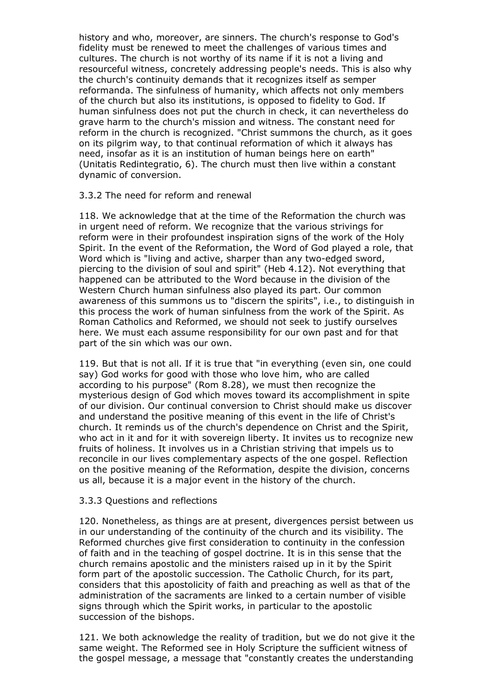history and who, moreover, are sinners. The church's response to God's fidelity must be renewed to meet the challenges of various times and cultures. The church is not worthy of its name if it is not a living and resourceful witness, concretely addressing people's needs. This is also why the church's continuity demands that it recognizes itself as semper reformanda. The sinfulness of humanity, which affects not only members of the church but also its institutions, is opposed to fidelity to God. If human sinfulness does not put the church in check, it can nevertheless do grave harm to the church's mission and witness. The constant need for reform in the church is recognized. "Christ summons the church, as it goes on its pilgrim way, to that continual reformation of which it always has need, insofar as it is an institution of human beings here on earth" (Unitatis Redintegratio, 6). The church must then live within a constant dynamic of conversion.

## 3.3.2 The need for reform and renewal

118. We acknowledge that at the time of the Reformation the church was in urgent need of reform. We recognize that the various strivings for reform were in their profoundest inspiration signs of the work of the Holy Spirit. In the event of the Reformation, the Word of God played a role, that Word which is "living and active, sharper than any two-edged sword, piercing to the division of soul and spirit" (Heb 4.12). Not everything that happened can be attributed to the Word because in the division of the Western Church human sinfulness also played its part. Our common awareness of this summons us to "discern the spirits", i.e., to distinguish in this process the work of human sinfulness from the work of the Spirit. As Roman Catholics and Reformed, we should not seek to justify ourselves here. We must each assume responsibility for our own past and for that part of the sin which was our own.

119. But that is not all. If it is true that "in everything (even sin, one could say) God works for good with those who love him, who are called according to his purpose" (Rom 8.28), we must then recognize the mysterious design of God which moves toward its accomplishment in spite of our division. Our continual conversion to Christ should make us discover and understand the positive meaning of this event in the life of Christ's church. It reminds us of the church's dependence on Christ and the Spirit, who act in it and for it with sovereign liberty. It invites us to recognize new fruits of holiness. It involves us in a Christian striving that impels us to reconcile in our lives complementary aspects of the one gospel. Reflection on the positive meaning of the Reformation, despite the division, concerns us all, because it is a major event in the history of the church.

#### 3.3.3 Questions and reflections

120. Nonetheless, as things are at present, divergences persist between us in our understanding of the continuity of the church and its visibility. The Reformed churches give first consideration to continuity in the confession of faith and in the teaching of gospel doctrine. It is in this sense that the church remains apostolic and the ministers raised up in it by the Spirit form part of the apostolic succession. The Catholic Church, for its part, considers that this apostolicity of faith and preaching as well as that of the administration of the sacraments are linked to a certain number of visible signs through which the Spirit works, in particular to the apostolic succession of the bishops.

121. We both acknowledge the reality of tradition, but we do not give it the same weight. The Reformed see in Holy Scripture the sufficient witness of the gospel message, a message that "constantly creates the understanding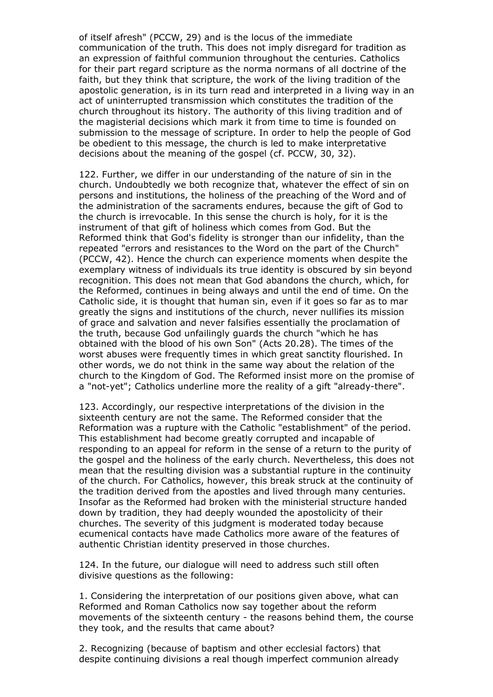of itself afresh" (PCCW, 29) and is the locus of the immediate communication of the truth. This does not imply disregard for tradition as an expression of faithful communion throughout the centuries. Catholics for their part regard scripture as the norma normans of all doctrine of the faith, but they think that scripture, the work of the living tradition of the apostolic generation, is in its turn read and interpreted in a living way in an act of uninterrupted transmission which constitutes the tradition of the church throughout its history. The authority of this living tradition and of the magisterial decisions which mark it from time to time is founded on submission to the message of scripture. In order to help the people of God be obedient to this message, the church is led to make interpretative decisions about the meaning of the gospel (cf. PCCW, 30, 32).

122. Further, we differ in our understanding of the nature of sin in the church. Undoubtedly we both recognize that, whatever the effect of sin on persons and institutions, the holiness of the preaching of the Word and of the administration of the sacraments endures, because the gift of God to the church is irrevocable. In this sense the church is holy, for it is the instrument of that gift of holiness which comes from God. But the Reformed think that God's fidelity is stronger than our infidelity, than the repeated "errors and resistances to the Word on the part of the Church" (PCCW, 42). Hence the church can experience moments when despite the exemplary witness of individuals its true identity is obscured by sin beyond recognition. This does not mean that God abandons the church, which, for the Reformed, continues in being always and until the end of time. On the Catholic side, it is thought that human sin, even if it goes so far as to mar greatly the signs and institutions of the church, never nullifies its mission of grace and salvation and never falsifies essentially the proclamation of the truth, because God unfailingly guards the church "which he has obtained with the blood of his own Son" (Acts 20.28). The times of the worst abuses were frequently times in which great sanctity flourished. In other words, we do not think in the same way about the relation of the church to the Kingdom of God. The Reformed insist more on the promise of a "not-yet"; Catholics underline more the reality of a gift "already-there".

123. Accordingly, our respective interpretations of the division in the sixteenth century are not the same. The Reformed consider that the Reformation was a rupture with the Catholic "establishment" of the period. This establishment had become greatly corrupted and incapable of responding to an appeal for reform in the sense of a return to the purity of the gospel and the holiness of the early church. Nevertheless, this does not mean that the resulting division was a substantial rupture in the continuity of the church. For Catholics, however, this break struck at the continuity of the tradition derived from the apostles and lived through many centuries. Insofar as the Reformed had broken with the ministerial structure handed down by tradition, they had deeply wounded the apostolicity of their churches. The severity of this judgment is moderated today because ecumenical contacts have made Catholics more aware of the features of authentic Christian identity preserved in those churches.

124. In the future, our dialogue will need to address such still often divisive questions as the following:

1. Considering the interpretation of our positions given above, what can Reformed and Roman Catholics now say together about the reform movements of the sixteenth century - the reasons behind them, the course they took, and the results that came about?

2. Recognizing (because of baptism and other ecclesial factors) that despite continuing divisions a real though imperfect communion already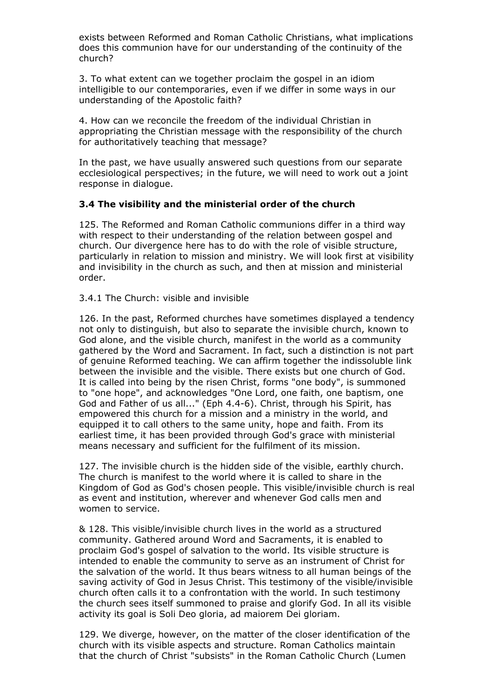exists between Reformed and Roman Catholic Christians, what implications does this communion have for our understanding of the continuity of the church?

3. To what extent can we together proclaim the gospel in an idiom intelligible to our contemporaries, even if we differ in some ways in our understanding of the Apostolic faith?

4. How can we reconcile the freedom of the individual Christian in appropriating the Christian message with the responsibility of the church for authoritatively teaching that message?

In the past, we have usually answered such questions from our separate ecclesiological perspectives; in the future, we will need to work out a joint response in dialogue.

## **3.4 The visibility and the ministerial order of the church**

125. The Reformed and Roman Catholic communions differ in a third way with respect to their understanding of the relation between gospel and church. Our divergence here has to do with the role of visible structure, particularly in relation to mission and ministry. We will look first at visibility and invisibility in the church as such, and then at mission and ministerial order.

## 3.4.1 The Church: visible and invisible

126. In the past, Reformed churches have sometimes displayed a tendency not only to distinguish, but also to separate the invisible church, known to God alone, and the visible church, manifest in the world as a community gathered by the Word and Sacrament. In fact, such a distinction is not part of genuine Reformed teaching. We can affirm together the indissoluble link between the invisible and the visible. There exists but one church of God. It is called into being by the risen Christ, forms "one body", is summoned to "one hope", and acknowledges "One Lord, one faith, one baptism, one God and Father of us all..." (Eph 4.4-6). Christ, through his Spirit, has empowered this church for a mission and a ministry in the world, and equipped it to call others to the same unity, hope and faith. From its earliest time, it has been provided through God's grace with ministerial means necessary and sufficient for the fulfilment of its mission.

127. The invisible church is the hidden side of the visible, earthly church. The church is manifest to the world where it is called to share in the Kingdom of God as God's chosen people. This visible/invisible church is real as event and institution, wherever and whenever God calls men and women to service.

& 128. This visible/invisible church lives in the world as a structured community. Gathered around Word and Sacraments, it is enabled to proclaim God's gospel of salvation to the world. Its visible structure is intended to enable the community to serve as an instrument of Christ for the salvation of the world. It thus bears witness to all human beings of the saving activity of God in Jesus Christ. This testimony of the visible/invisible church often calls it to a confrontation with the world. In such testimony the church sees itself summoned to praise and glorify God. In all its visible activity its goal is Soli Deo gloria, ad maiorem Dei gloriam.

129. We diverge, however, on the matter of the closer identification of the church with its visible aspects and structure. Roman Catholics maintain that the church of Christ "subsists" in the Roman Catholic Church (Lumen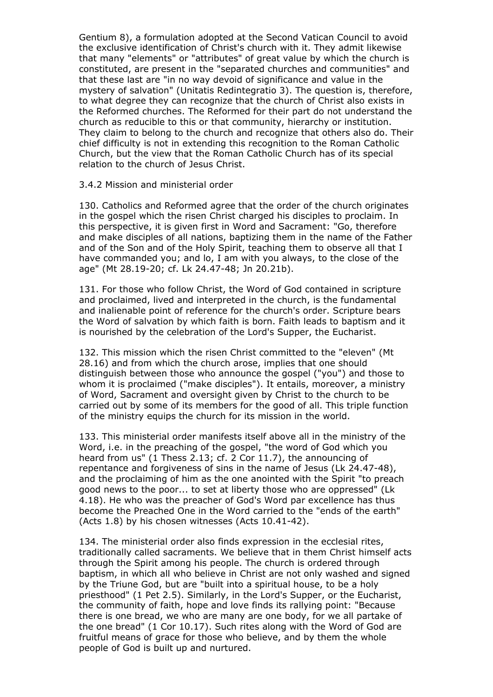Gentium 8), a formulation adopted at the Second Vatican Council to avoid the exclusive identification of Christ's church with it. They admit likewise that many "elements" or "attributes" of great value by which the church is constituted, are present in the "separated churches and communities" and that these last are "in no way devoid of significance and value in the mystery of salvation" (Unitatis Redintegratio 3). The question is, therefore, to what degree they can recognize that the church of Christ also exists in the Reformed churches. The Reformed for their part do not understand the church as reducible to this or that community, hierarchy or institution. They claim to belong to the church and recognize that others also do. Their chief difficulty is not in extending this recognition to the Roman Catholic Church, but the view that the Roman Catholic Church has of its special relation to the church of Jesus Christ.

3.4.2 Mission and ministerial order

130. Catholics and Reformed agree that the order of the church originates in the gospel which the risen Christ charged his disciples to proclaim. In this perspective, it is given first in Word and Sacrament: "Go, therefore and make disciples of all nations, baptizing them in the name of the Father and of the Son and of the Holy Spirit, teaching them to observe all that I have commanded you; and lo, I am with you always, to the close of the age" (Mt 28.19-20; cf. Lk 24.47-48; Jn 20.21b).

131. For those who follow Christ, the Word of God contained in scripture and proclaimed, lived and interpreted in the church, is the fundamental and inalienable point of reference for the church's order. Scripture bears the Word of salvation by which faith is born. Faith leads to baptism and it is nourished by the celebration of the Lord's Supper, the Eucharist.

132. This mission which the risen Christ committed to the "eleven" (Mt 28.16) and from which the church arose, implies that one should distinguish between those who announce the gospel ("you") and those to whom it is proclaimed ("make disciples"). It entails, moreover, a ministry of Word, Sacrament and oversight given by Christ to the church to be carried out by some of its members for the good of all. This triple function of the ministry equips the church for its mission in the world.

133. This ministerial order manifests itself above all in the ministry of the Word, i.e. in the preaching of the gospel, "the word of God which you heard from us" (1 Thess 2.13; cf. 2 Cor 11.7), the announcing of repentance and forgiveness of sins in the name of Jesus (Lk 24.47-48), and the proclaiming of him as the one anointed with the Spirit "to preach good news to the poor... to set at liberty those who are oppressed" (Lk 4.18). He who was the preacher of God's Word par excellence has thus become the Preached One in the Word carried to the "ends of the earth" (Acts 1.8) by his chosen witnesses (Acts 10.41-42).

134. The ministerial order also finds expression in the ecclesial rites, traditionally called sacraments. We believe that in them Christ himself acts through the Spirit among his people. The church is ordered through baptism, in which all who believe in Christ are not only washed and signed by the Triune God, but are "built into a spiritual house, to be a holy priesthood" (1 Pet 2.5). Similarly, in the Lord's Supper, or the Eucharist, the community of faith, hope and love finds its rallying point: "Because there is one bread, we who are many are one body, for we all partake of the one bread" (1 Cor 10.17). Such rites along with the Word of God are fruitful means of grace for those who believe, and by them the whole people of God is built up and nurtured.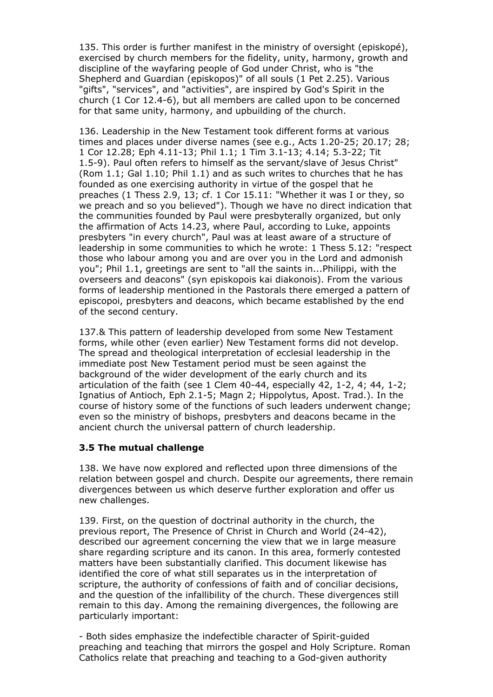135. This order is further manifest in the ministry of oversight (episkopé), exercised by church members for the fidelity, unity, harmony, growth and discipline of the wayfaring people of God under Christ, who is "the Shepherd and Guardian (episkopos)" of all souls (1 Pet 2.25). Various "gifts", "services", and "activities", are inspired by God's Spirit in the church (1 Cor 12.4-6), but all members are called upon to be concerned for that same unity, harmony, and upbuilding of the church.

136. Leadership in the New Testament took different forms at various times and places under diverse names (see e.g., Acts 1.20-25; 20.17; 28; 1 Cor 12.28; Eph 4.11-13; Phil 1.1; 1 Tim 3.1-13; 4.14; 5.3-22; Tit 1.5-9). Paul often refers to himself as the servant/slave of Jesus Christ" (Rom 1.1; Gal 1.10; Phil 1.1) and as such writes to churches that he has founded as one exercising authority in virtue of the gospel that he preaches (1 Thess 2.9, 13; cf. 1 Cor 15.11: "Whether it was I or they, so we preach and so you believed"). Though we have no direct indication that the communities founded by Paul were presbyterally organized, but only the affirmation of Acts 14.23, where Paul, according to Luke, appoints presbyters "in every church", Paul was at least aware of a structure of leadership in some communities to which he wrote: 1 Thess 5.12: "respect those who labour among you and are over you in the Lord and admonish you"; Phil 1.1, greetings are sent to "all the saints in...Philippi, with the overseers and deacons" (syn episkopois kai diakonois). From the various forms of leadership mentioned in the Pastorals there emerged a pattern of episcopoi, presbyters and deacons, which became established by the end of the second century.

137.& This pattern of leadership developed from some New Testament forms, while other (even earlier) New Testament forms did not develop. The spread and theological interpretation of ecclesial leadership in the immediate post New Testament period must be seen against the background of the wider development of the early church and its articulation of the faith (see 1 Clem 40-44, especially 42, 1-2, 4; 44, 1-2; Ignatius of Antioch, Eph 2.1-5; Magn 2; Hippolytus, Apost. Trad.). In the course of history some of the functions of such leaders underwent change; even so the ministry of bishops, presbyters and deacons became in the ancient church the universal pattern of church leadership.

## **3.5 The mutual challenge**

138. We have now explored and reflected upon three dimensions of the relation between gospel and church. Despite our agreements, there remain divergences between us which deserve further exploration and offer us new challenges.

139. First, on the question of doctrinal authority in the church, the previous report, The Presence of Christ in Church and World (24-42), described our agreement concerning the view that we in large measure share regarding scripture and its canon. In this area, formerly contested matters have been substantially clarified. This document likewise has identified the core of what still separates us in the interpretation of scripture, the authority of confessions of faith and of conciliar decisions, and the question of the infallibility of the church. These divergences still remain to this day. Among the remaining divergences, the following are particularly important:

- Both sides emphasize the indefectible character of Spirit-guided preaching and teaching that mirrors the gospel and Holy Scripture. Roman Catholics relate that preaching and teaching to a God-given authority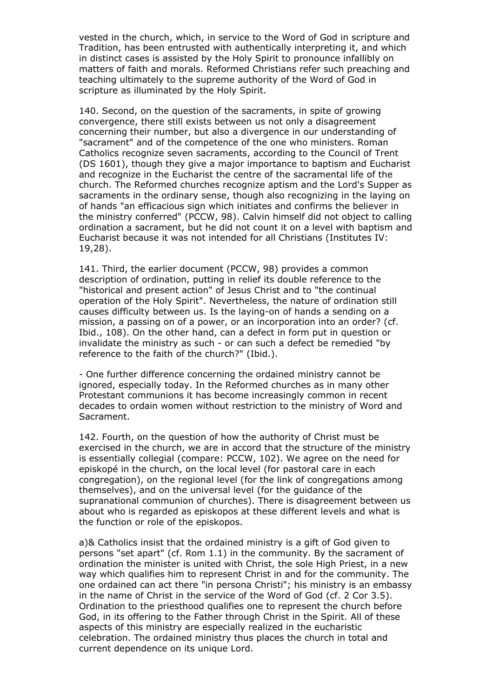vested in the church, which, in service to the Word of God in scripture and Tradition, has been entrusted with authentically interpreting it, and which in distinct cases is assisted by the Holy Spirit to pronounce infallibly on matters of faith and morals. Reformed Christians refer such preaching and teaching ultimately to the supreme authority of the Word of God in scripture as illuminated by the Holy Spirit.

140. Second, on the question of the sacraments, in spite of growing convergence, there still exists between us not only a disagreement concerning their number, but also a divergence in our understanding of "sacrament" and of the competence of the one who ministers. Roman Catholics recognize seven sacraments, according to the Council of Trent (DS 1601), though they give a major importance to baptism and Eucharist and recognize in the Eucharist the centre of the sacramental life of the church. The Reformed churches recognize aptism and the Lord's Supper as sacraments in the ordinary sense, though also recognizing in the laying on of hands "an efficacious sign which initiates and confirms the believer in the ministry conferred" (PCCW, 98). Calvin himself did not object to calling ordination a sacrament, but he did not count it on a level with baptism and Eucharist because it was not intended for all Christians (Institutes IV: 19,28).

141. Third, the earlier document (PCCW, 98) provides a common description of ordination, putting in relief its double reference to the "historical and present action" of Jesus Christ and to "the continual operation of the Holy Spirit". Nevertheless, the nature of ordination still causes difficulty between us. Is the laying-on of hands a sending on a mission, a passing on of a power, or an incorporation into an order? (cf. Ibid., 108). On the other hand, can a defect in form put in question or invalidate the ministry as such - or can such a defect be remedied "by reference to the faith of the church?" (Ibid.).

- One further difference concerning the ordained ministry cannot be ignored, especially today. In the Reformed churches as in many other Protestant communions it has become increasingly common in recent decades to ordain women without restriction to the ministry of Word and Sacrament.

142. Fourth, on the question of how the authority of Christ must be exercised in the church, we are in accord that the structure of the ministry is essentially collegial (compare: PCCW, 102). We agree on the need for episkopé in the church, on the local level (for pastoral care in each congregation), on the regional level (for the link of congregations among themselves), and on the universal level (for the guidance of the supranational communion of churches). There is disagreement between us about who is regarded as episkopos at these different levels and what is the function or role of the episkopos.

a)& Catholics insist that the ordained ministry is a gift of God given to persons "set apart" (cf. Rom 1.1) in the community. By the sacrament of ordination the minister is united with Christ, the sole High Priest, in a new way which qualifies him to represent Christ in and for the community. The one ordained can act there "in persona Christi"; his ministry is an embassy in the name of Christ in the service of the Word of God (cf. 2 Cor 3.5). Ordination to the priesthood qualifies one to represent the church before God, in its offering to the Father through Christ in the Spirit. All of these aspects of this ministry are especially realized in the eucharistic celebration. The ordained ministry thus places the church in total and current dependence on its unique Lord.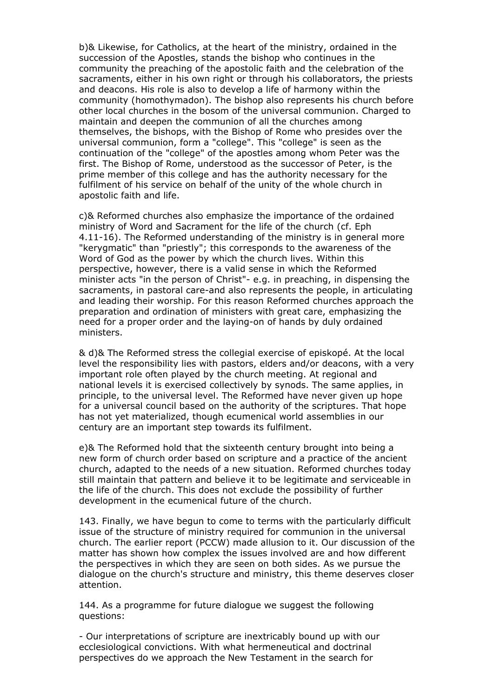b)& Likewise, for Catholics, at the heart of the ministry, ordained in the succession of the Apostles, stands the bishop who continues in the community the preaching of the apostolic faith and the celebration of the sacraments, either in his own right or through his collaborators, the priests and deacons. His role is also to develop a life of harmony within the community (homothymadon). The bishop also represents his church before other local churches in the bosom of the universal communion. Charged to maintain and deepen the communion of all the churches among themselves, the bishops, with the Bishop of Rome who presides over the universal communion, form a "college". This "college" is seen as the continuation of the "college" of the apostles among whom Peter was the first. The Bishop of Rome, understood as the successor of Peter, is the prime member of this college and has the authority necessary for the fulfilment of his service on behalf of the unity of the whole church in apostolic faith and life.

c)& Reformed churches also emphasize the importance of the ordained ministry of Word and Sacrament for the life of the church (cf. Eph 4.11-16). The Reformed understanding of the ministry is in general more "kerygmatic" than "priestly"; this corresponds to the awareness of the Word of God as the power by which the church lives. Within this perspective, however, there is a valid sense in which the Reformed minister acts "in the person of Christ"- e.g. in preaching, in dispensing the sacraments, in pastoral care-and also represents the people, in articulating and leading their worship. For this reason Reformed churches approach the preparation and ordination of ministers with great care, emphasizing the need for a proper order and the laying-on of hands by duly ordained ministers.

& d)& The Reformed stress the collegial exercise of episkopé. At the local level the responsibility lies with pastors, elders and/or deacons, with a very important role often played by the church meeting. At regional and national levels it is exercised collectively by synods. The same applies, in principle, to the universal level. The Reformed have never given up hope for a universal council based on the authority of the scriptures. That hope has not yet materialized, though ecumenical world assemblies in our century are an important step towards its fulfilment.

e)& The Reformed hold that the sixteenth century brought into being a new form of church order based on scripture and a practice of the ancient church, adapted to the needs of a new situation. Reformed churches today still maintain that pattern and believe it to be legitimate and serviceable in the life of the church. This does not exclude the possibility of further development in the ecumenical future of the church.

143. Finally, we have begun to come to terms with the particularly difficult issue of the structure of ministry required for communion in the universal church. The earlier report (PCCW) made allusion to it. Our discussion of the matter has shown how complex the issues involved are and how different the perspectives in which they are seen on both sides. As we pursue the dialogue on the church's structure and ministry, this theme deserves closer attention.

144. As a programme for future dialogue we suggest the following questions:

- Our interpretations of scripture are inextricably bound up with our ecclesiological convictions. With what hermeneutical and doctrinal perspectives do we approach the New Testament in the search for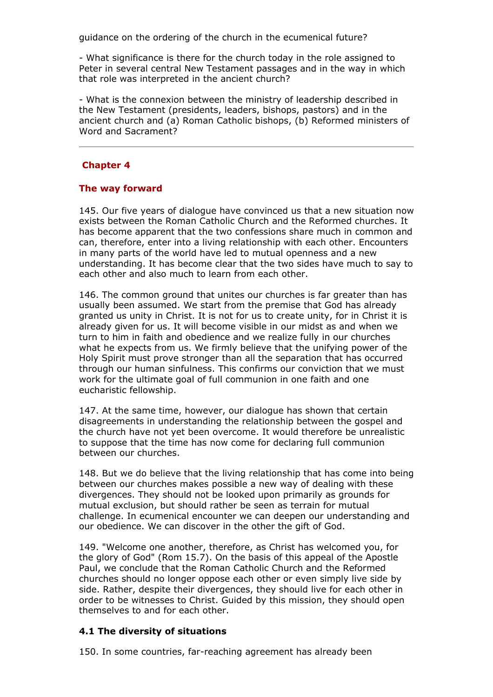guidance on the ordering of the church in the ecumenical future?

- What significance is there for the church today in the role assigned to Peter in several central New Testament passages and in the way in which that role was interpreted in the ancient church?

- What is the connexion between the ministry of leadership described in the New Testament (presidents, leaders, bishops, pastors) and in the ancient church and (a) Roman Catholic bishops, (b) Reformed ministers of Word and Sacrament?

## **Chapter 4**

#### **The way forward**

145. Our five years of dialogue have convinced us that a new situation now exists between the Roman Catholic Church and the Reformed churches. It has become apparent that the two confessions share much in common and can, therefore, enter into a living relationship with each other. Encounters in many parts of the world have led to mutual openness and a new understanding. It has become clear that the two sides have much to say to each other and also much to learn from each other.

146. The common ground that unites our churches is far greater than has usually been assumed. We start from the premise that God has already granted us unity in Christ. It is not for us to create unity, for in Christ it is already given for us. It will become visible in our midst as and when we turn to him in faith and obedience and we realize fully in our churches what he expects from us. We firmly believe that the unifying power of the Holy Spirit must prove stronger than all the separation that has occurred through our human sinfulness. This confirms our conviction that we must work for the ultimate goal of full communion in one faith and one eucharistic fellowship.

147. At the same time, however, our dialogue has shown that certain disagreements in understanding the relationship between the gospel and the church have not yet been overcome. It would therefore be unrealistic to suppose that the time has now come for declaring full communion between our churches.

148. But we do believe that the living relationship that has come into being between our churches makes possible a new way of dealing with these divergences. They should not be looked upon primarily as grounds for mutual exclusion, but should rather be seen as terrain for mutual challenge. In ecumenical encounter we can deepen our understanding and our obedience. We can discover in the other the gift of God.

149. "Welcome one another, therefore, as Christ has welcomed you, for the glory of God" (Rom 15.7). On the basis of this appeal of the Apostle Paul, we conclude that the Roman Catholic Church and the Reformed churches should no longer oppose each other or even simply live side by side. Rather, despite their divergences, they should live for each other in order to be witnesses to Christ. Guided by this mission, they should open themselves to and for each other.

## **4.1 The diversity of situations**

150. In some countries, far-reaching agreement has already been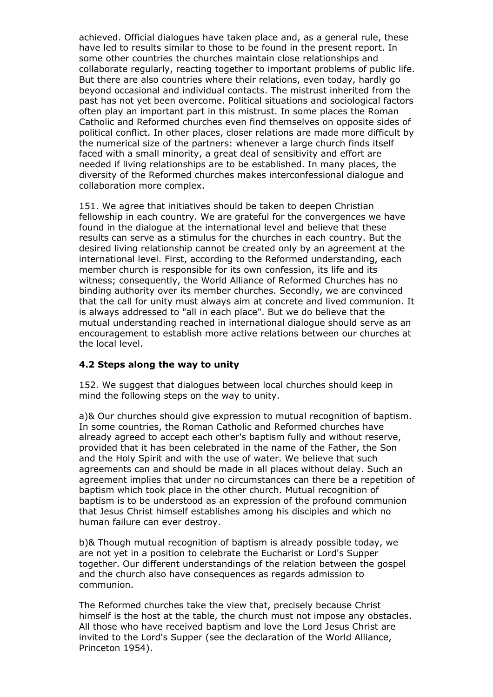achieved. Official dialogues have taken place and, as a general rule, these have led to results similar to those to be found in the present report. In some other countries the churches maintain close relationships and collaborate regularly, reacting together to important problems of public life. But there are also countries where their relations, even today, hardly go beyond occasional and individual contacts. The mistrust inherited from the past has not yet been overcome. Political situations and sociological factors often play an important part in this mistrust. In some places the Roman Catholic and Reformed churches even find themselves on opposite sides of political conflict. In other places, closer relations are made more difficult by the numerical size of the partners: whenever a large church finds itself faced with a small minority, a great deal of sensitivity and effort are needed if living relationships are to be established. In many places, the diversity of the Reformed churches makes interconfessional dialogue and collaboration more complex.

151. We agree that initiatives should be taken to deepen Christian fellowship in each country. We are grateful for the convergences we have found in the dialogue at the international level and believe that these results can serve as a stimulus for the churches in each country. But the desired living relationship cannot be created only by an agreement at the international level. First, according to the Reformed understanding, each member church is responsible for its own confession, its life and its witness; consequently, the World Alliance of Reformed Churches has no binding authority over its member churches. Secondly, we are convinced that the call for unity must always aim at concrete and lived communion. It is always addressed to "all in each place". But we do believe that the mutual understanding reached in international dialogue should serve as an encouragement to establish more active relations between our churches at the local level.

# **4.2 Steps along the way to unity**

152. We suggest that dialogues between local churches should keep in mind the following steps on the way to unity.

a)& Our churches should give expression to mutual recognition of baptism. In some countries, the Roman Catholic and Reformed churches have already agreed to accept each other's baptism fully and without reserve, provided that it has been celebrated in the name of the Father, the Son and the Holy Spirit and with the use of water. We believe that such agreements can and should be made in all places without delay. Such an agreement implies that under no circumstances can there be a repetition of baptism which took place in the other church. Mutual recognition of baptism is to be understood as an expression of the profound communion that Jesus Christ himself establishes among his disciples and which no human failure can ever destroy.

b)& Though mutual recognition of baptism is already possible today, we are not yet in a position to celebrate the Eucharist or Lord's Supper together. Our different understandings of the relation between the gospel and the church also have consequences as regards admission to communion.

The Reformed churches take the view that, precisely because Christ himself is the host at the table, the church must not impose any obstacles. All those who have received baptism and love the Lord Jesus Christ are invited to the Lord's Supper (see the declaration of the World Alliance, Princeton 1954).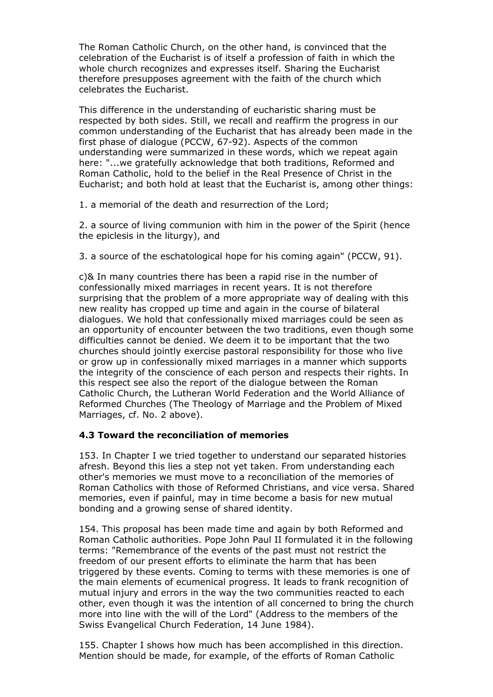The Roman Catholic Church, on the other hand, is convinced that the celebration of the Eucharist is of itself a profession of faith in which the whole church recognizes and expresses itself. Sharing the Eucharist therefore presupposes agreement with the faith of the church which celebrates the Eucharist.

This difference in the understanding of eucharistic sharing must be respected by both sides. Still, we recall and reaffirm the progress in our common understanding of the Eucharist that has already been made in the first phase of dialogue (PCCW, 67-92). Aspects of the common understanding were summarized in these words, which we repeat again here: "...we gratefully acknowledge that both traditions, Reformed and Roman Catholic, hold to the belief in the Real Presence of Christ in the Eucharist; and both hold at least that the Eucharist is, among other things:

1. a memorial of the death and resurrection of the Lord;

2. a source of living communion with him in the power of the Spirit (hence the epiclesis in the liturgy), and

3. a source of the eschatological hope for his coming again" (PCCW, 91).

c)& In many countries there has been a rapid rise in the number of confessionally mixed marriages in recent years. It is not therefore surprising that the problem of a more appropriate way of dealing with this new reality has cropped up time and again in the course of bilateral dialogues. We hold that confessionally mixed marriages could be seen as an opportunity of encounter between the two traditions, even though some difficulties cannot be denied. We deem it to be important that the two churches should jointly exercise pastoral responsibility for those who live or grow up in confessionally mixed marriages in a manner which supports the integrity of the conscience of each person and respects their rights. In this respect see also the report of the dialogue between the Roman Catholic Church, the Lutheran World Federation and the World Alliance of Reformed Churches (The Theology of Marriage and the Problem of Mixed Marriages, cf. No. 2 above).

# **4.3 Toward the reconciliation of memories**

153. In Chapter I we tried together to understand our separated histories afresh. Beyond this lies a step not yet taken. From understanding each other's memories we must move to a reconciliation of the memories of Roman Catholics with those of Reformed Christians, and vice versa. Shared memories, even if painful, may in time become a basis for new mutual bonding and a growing sense of shared identity.

154. This proposal has been made time and again by both Reformed and Roman Catholic authorities. Pope John Paul II formulated it in the following terms: "Remembrance of the events of the past must not restrict the freedom of our present efforts to eliminate the harm that has been triggered by these events. Coming to terms with these memories is one of the main elements of ecumenical progress. It leads to frank recognition of mutual injury and errors in the way the two communities reacted to each other, even though it was the intention of all concerned to bring the church more into line with the will of the Lord" (Address to the members of the Swiss Evangelical Church Federation, 14 June 1984).

155. Chapter I shows how much has been accomplished in this direction. Mention should be made, for example, of the efforts of Roman Catholic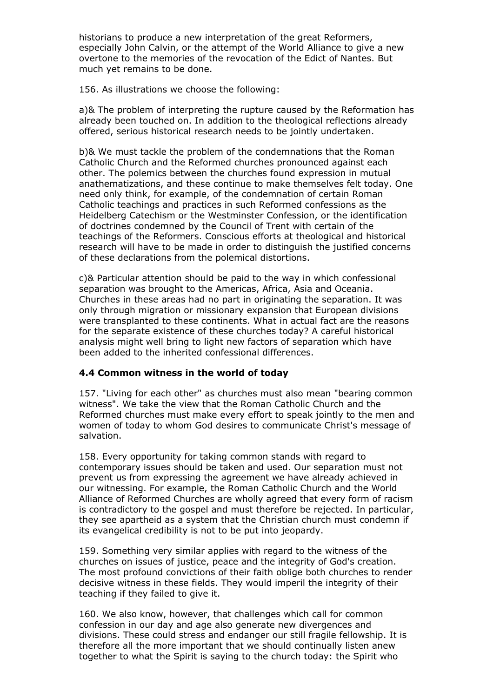historians to produce a new interpretation of the great Reformers, especially John Calvin, or the attempt of the World Alliance to give a new overtone to the memories of the revocation of the Edict of Nantes. But much yet remains to be done.

156. As illustrations we choose the following:

a)& The problem of interpreting the rupture caused by the Reformation has already been touched on. In addition to the theological reflections already offered, serious historical research needs to be jointly undertaken.

b)& We must tackle the problem of the condemnations that the Roman Catholic Church and the Reformed churches pronounced against each other. The polemics between the churches found expression in mutual anathematizations, and these continue to make themselves felt today. One need only think, for example, of the condemnation of certain Roman Catholic teachings and practices in such Reformed confessions as the Heidelberg Catechism or the Westminster Confession, or the identification of doctrines condemned by the Council of Trent with certain of the teachings of the Reformers. Conscious efforts at theological and historical research will have to be made in order to distinguish the justified concerns of these declarations from the polemical distortions.

c)& Particular attention should be paid to the way in which confessional separation was brought to the Americas, Africa, Asia and Oceania. Churches in these areas had no part in originating the separation. It was only through migration or missionary expansion that European divisions were transplanted to these continents. What in actual fact are the reasons for the separate existence of these churches today? A careful historical analysis might well bring to light new factors of separation which have been added to the inherited confessional differences.

# **4.4 Common witness in the world of today**

157. "Living for each other" as churches must also mean "bearing common witness". We take the view that the Roman Catholic Church and the Reformed churches must make every effort to speak jointly to the men and women of today to whom God desires to communicate Christ's message of salvation.

158. Every opportunity for taking common stands with regard to contemporary issues should be taken and used. Our separation must not prevent us from expressing the agreement we have already achieved in our witnessing. For example, the Roman Catholic Church and the World Alliance of Reformed Churches are wholly agreed that every form of racism is contradictory to the gospel and must therefore be rejected. In particular, they see apartheid as a system that the Christian church must condemn if its evangelical credibility is not to be put into jeopardy.

159. Something very similar applies with regard to the witness of the churches on issues of justice, peace and the integrity of God's creation. The most profound convictions of their faith oblige both churches to render decisive witness in these fields. They would imperil the integrity of their teaching if they failed to give it.

160. We also know, however, that challenges which call for common confession in our day and age also generate new divergences and divisions. These could stress and endanger our still fragile fellowship. It is therefore all the more important that we should continually listen anew together to what the Spirit is saying to the church today: the Spirit who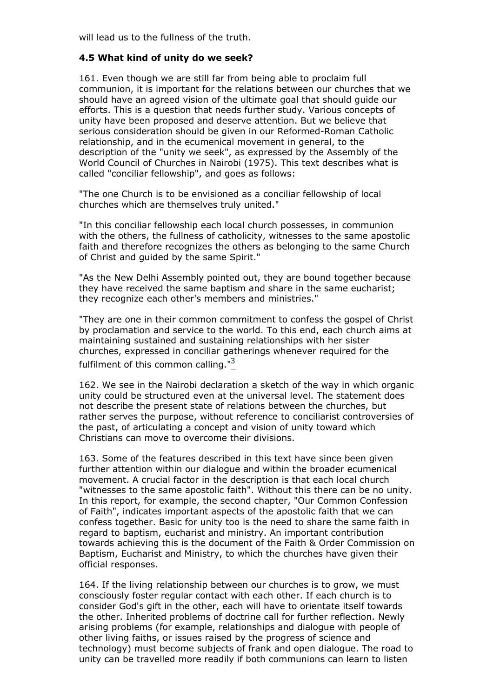will lead us to the fullness of the truth.

# **4.5 What kind of unity do we seek?**

161. Even though we are still far from being able to proclaim full communion, it is important for the relations between our churches that we should have an agreed vision of the ultimate goal that should guide our efforts. This is a question that needs further study. Various concepts of unity have been proposed and deserve attention. But we believe that serious consideration should be given in our Reformed-Roman Catholic relationship, and in the ecumenical movement in general, to the description of the "unity we seek", as expressed by the Assembly of the World Council of Churches in Nairobi (1975). This text describes what is called "conciliar fellowship", and goes as follows:

"The one Church is to be envisioned as a conciliar fellowship of local churches which are themselves truly united."

"In this conciliar fellowship each local church possesses, in communion with the others, the fullness of catholicity, witnesses to the same apostolic faith and therefore recognizes the others as belonging to the same Church of Christ and guided by the same Spirit."

"As the New Delhi Assembly pointed out, they are bound together because they have received the same baptism and share in the same eucharist; they recognize each other's members and ministries."

"They are one in their common commitment to confess the gospel of Christ by proclamation and service to the world. To this end, each church aims at maintaining sustained and sustaining relationships with her sister churches, expressed in conciliar gatherings whenever required for the fulfilment of this common calling." $3$ 

162. We see in the Nairobi declaration a sketch of the way in which organic unity could be structured even at the universal level. The statement does not describe the present state of relations between the churches, but rather serves the purpose, without reference to conciliarist controversies of the past, of articulating a concept and vision of unity toward which Christians can move to overcome their divisions.

163. Some of the features described in this text have since been given further attention within our dialogue and within the broader ecumenical movement. A crucial factor in the description is that each local church "witnesses to the same apostolic faith". Without this there can be no unity. In this report, for example, the second chapter, "Our Common Confession of Faith", indicates important aspects of the apostolic faith that we can confess together. Basic for unity too is the need to share the same faith in regard to baptism, eucharist and ministry. An important contribution towards achieving this is the document of the Faith & Order Commission on Baptism, Eucharist and Ministry, to which the churches have given their official responses.

164. If the living relationship between our churches is to grow, we must consciously foster regular contact with each other. If each church is to consider God's gift in the other, each will have to orientate itself towards the other. Inherited problems of doctrine call for further reflection. Newly arising problems (for example, relationships and dialogue with people of other living faiths, or issues raised by the progress of science and technology) must become subjects of frank and open dialogue. The road to unity can be travelled more readily if both communions can learn to listen